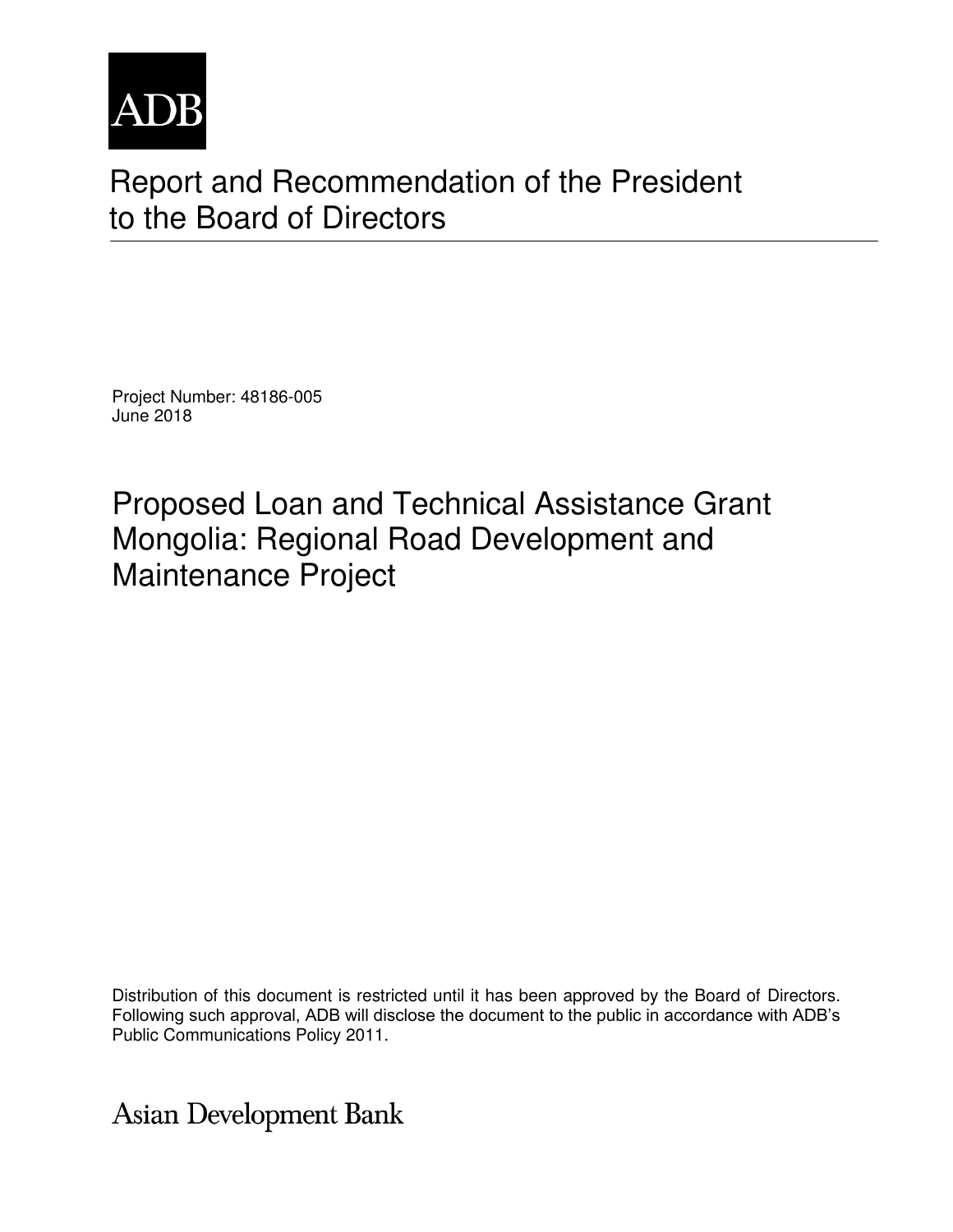

# Report and Recommendation of the President to the Board of Directors

Project Number: 48186-005 June 2018

Proposed Loan and Technical Assistance Grant Mongolia: Regional Road Development and Maintenance Project

Distribution of this document is restricted until it has been approved by the Board of Directors. Following such approval, ADB will disclose the document to the public in accordance with ADB's Public Communications Policy 2011.

**Asian Development Bank**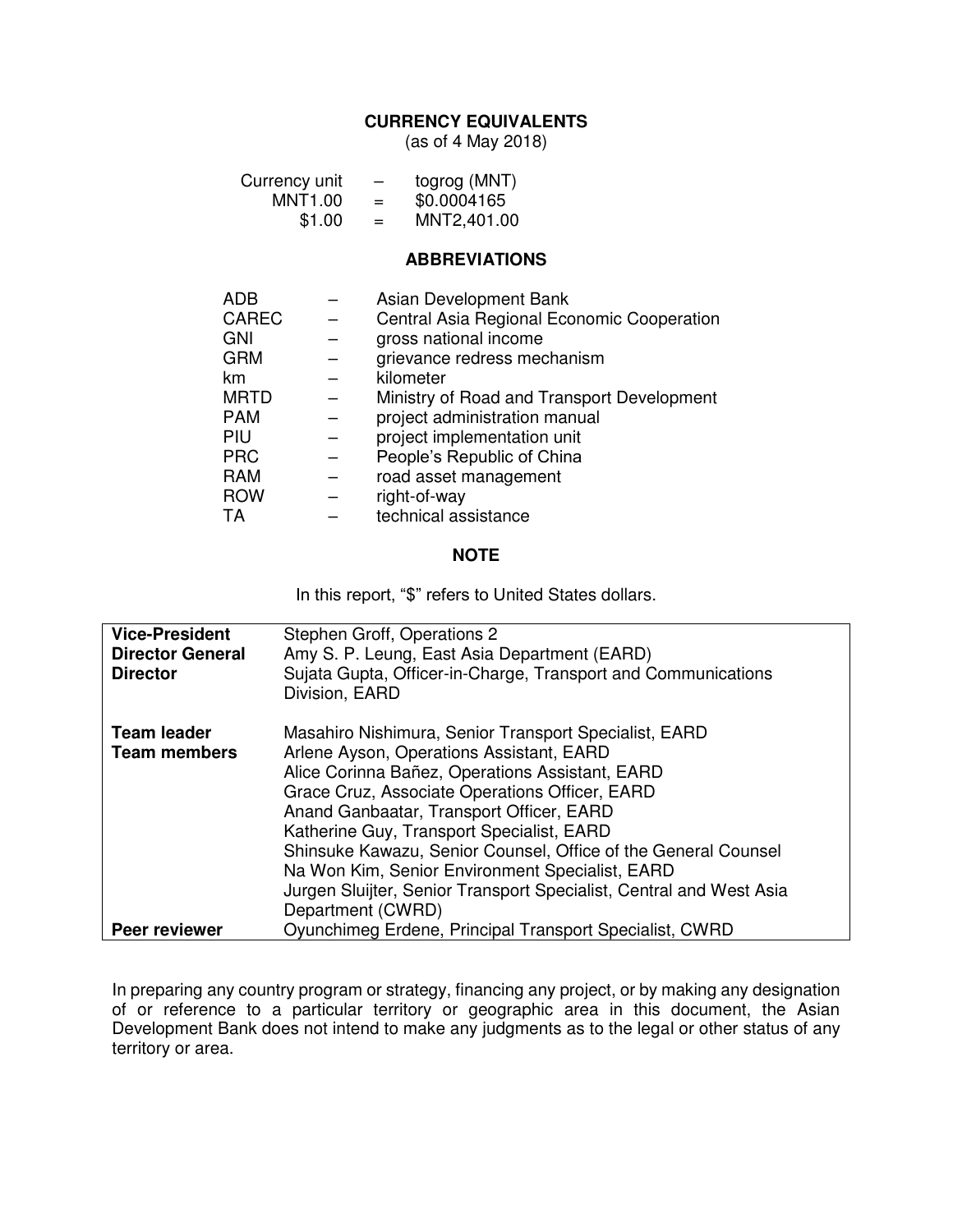#### **CURRENCY EQUIVALENTS**

(as of 4 May 2018)

| Currency unit<br>$MNT1.00 =$<br>\$1.00 |  | togrog (MNT)<br>\$0.0004165<br>MNT2,401.00<br>$=$ |
|----------------------------------------|--|---------------------------------------------------|
|                                        |  | <b>ABBREVIATIONS</b>                              |
| ADB                                    |  | Asian Development Bank                            |
| CAREC                                  |  | Central Asia Regional Economic Cooperation        |
| GNI                                    |  | gross national income                             |
| GRM                                    |  | grievance redress mechanism                       |
| km                                     |  | kilometer                                         |
| MRTD                                   |  | Ministry of Road and Transport Development        |
| PAM                                    |  | project administration manual                     |
| PIU                                    |  | project implementation unit                       |
| <b>PRC</b>                             |  | People's Republic of China                        |
| <b>RAM</b>                             |  | road asset management                             |
| <b>ROW</b>                             |  | right-of-way                                      |
| TA                                     |  | technical assistance                              |

#### **NOTE**

In this report, "\$" refers to United States dollars.

| <b>Vice-President</b><br><b>Director General</b><br><b>Director</b> | Stephen Groff, Operations 2<br>Amy S. P. Leung, East Asia Department (EARD)<br>Sujata Gupta, Officer-in-Charge, Transport and Communications<br>Division, EARD                                                                                                                                                                                                                                                                                                                                                   |
|---------------------------------------------------------------------|------------------------------------------------------------------------------------------------------------------------------------------------------------------------------------------------------------------------------------------------------------------------------------------------------------------------------------------------------------------------------------------------------------------------------------------------------------------------------------------------------------------|
| <b>Team leader</b><br><b>Team members</b>                           | Masahiro Nishimura, Senior Transport Specialist, EARD<br>Arlene Ayson, Operations Assistant, EARD<br>Alice Corinna Bañez, Operations Assistant, EARD<br>Grace Cruz, Associate Operations Officer, EARD<br>Anand Ganbaatar, Transport Officer, EARD<br>Katherine Guy, Transport Specialist, EARD<br>Shinsuke Kawazu, Senior Counsel, Office of the General Counsel<br>Na Won Kim, Senior Environment Specialist, EARD<br>Jurgen Sluijter, Senior Transport Specialist, Central and West Asia<br>Department (CWRD) |
| <b>Peer reviewer</b>                                                | Oyunchimeg Erdene, Principal Transport Specialist, CWRD                                                                                                                                                                                                                                                                                                                                                                                                                                                          |

In preparing any country program or strategy, financing any project, or by making any designation of or reference to a particular territory or geographic area in this document, the Asian Development Bank does not intend to make any judgments as to the legal or other status of any territory or area.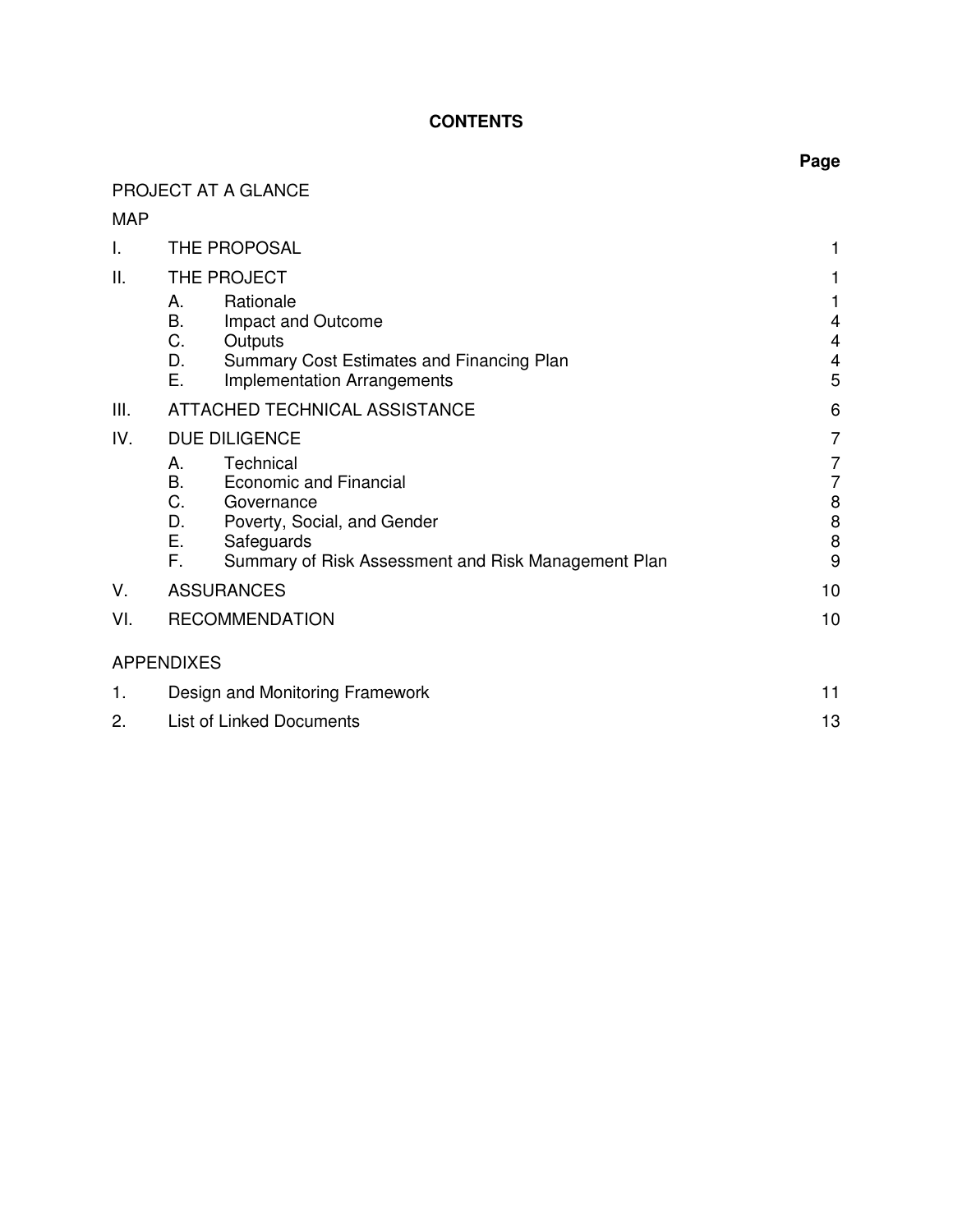# **CONTENTS**

# PROJECT AT A GLANCE

MAP

| I.  | THE PROPOSAL                                                                                                                                                                                     |                            |
|-----|--------------------------------------------------------------------------------------------------------------------------------------------------------------------------------------------------|----------------------------|
| Ш.  | THE PROJECT                                                                                                                                                                                      |                            |
|     | Rationale<br>А.<br>В.<br>Impact and Outcome<br>C.<br>Outputs<br>D.<br>Summary Cost Estimates and Financing Plan<br>Е.<br>Implementation Arrangements                                             | 4<br>4<br>4<br>5           |
| Ш.  | ATTACHED TECHNICAL ASSISTANCE                                                                                                                                                                    | 6                          |
| IV. | <b>DUE DILIGENCE</b>                                                                                                                                                                             | 7                          |
|     | Technical<br>Α.<br>B.<br><b>Economic and Financial</b><br>C.<br>Governance<br>D.<br>Poverty, Social, and Gender<br>Е.<br>Safeguards<br>F.<br>Summary of Risk Assessment and Risk Management Plan | 7<br>7<br>8<br>8<br>8<br>9 |
| V.  | <b>ASSURANCES</b>                                                                                                                                                                                | 10                         |
| VI. | <b>RECOMMENDATION</b>                                                                                                                                                                            | 10                         |
|     | <b>APPENDIXES</b>                                                                                                                                                                                |                            |
| 1.  | Design and Monitoring Framework                                                                                                                                                                  | 11                         |
| 2.  | <b>List of Linked Documents</b>                                                                                                                                                                  | 13                         |

### **Page**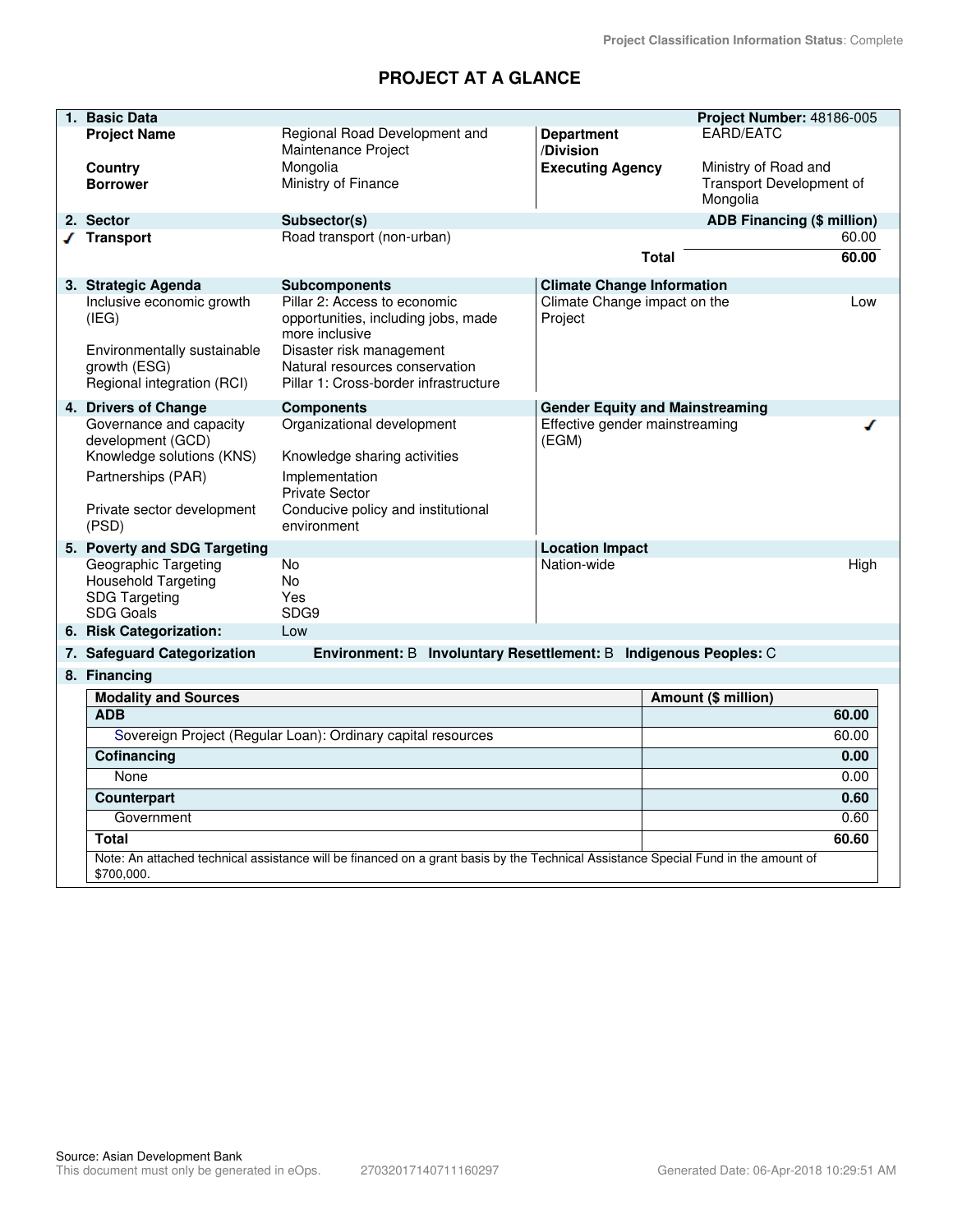# **PROJECT AT A GLANCE**

| 1. Basic Data                               |                                                                                                                                    |                                        | Project Number: 48186-005                        |
|---------------------------------------------|------------------------------------------------------------------------------------------------------------------------------------|----------------------------------------|--------------------------------------------------|
| <b>Project Name</b>                         | Regional Road Development and                                                                                                      | <b>Department</b>                      | EARD/EATC                                        |
|                                             | Maintenance Project                                                                                                                | /Division                              |                                                  |
| Country<br><b>Borrower</b>                  | Mongolia<br>Ministry of Finance                                                                                                    | <b>Executing Agency</b>                | Ministry of Road and<br>Transport Development of |
|                                             |                                                                                                                                    |                                        | Mongolia                                         |
| 2. Sector                                   | Subsector(s)                                                                                                                       |                                        | ADB Financing (\$ million)                       |
| √ Transport                                 | Road transport (non-urban)                                                                                                         |                                        | 60.00                                            |
|                                             |                                                                                                                                    | <b>Total</b>                           | 60.00                                            |
| 3. Strategic Agenda                         | <b>Subcomponents</b>                                                                                                               | <b>Climate Change Information</b>      |                                                  |
| Inclusive economic growth                   | Pillar 2: Access to economic                                                                                                       | Climate Change impact on the           | Low                                              |
| (IEG)                                       | opportunities, including jobs, made<br>more inclusive                                                                              | Project                                |                                                  |
| Environmentally sustainable                 | Disaster risk management                                                                                                           |                                        |                                                  |
| growth (ESG)                                | Natural resources conservation                                                                                                     |                                        |                                                  |
| Regional integration (RCI)                  | Pillar 1: Cross-border infrastructure                                                                                              |                                        |                                                  |
| 4. Drivers of Change                        | <b>Components</b>                                                                                                                  | <b>Gender Equity and Mainstreaming</b> |                                                  |
| Governance and capacity                     | Organizational development                                                                                                         | Effective gender mainstreaming         |                                                  |
| development (GCD)                           |                                                                                                                                    | (EGM)                                  |                                                  |
| Knowledge solutions (KNS)                   | Knowledge sharing activities                                                                                                       |                                        |                                                  |
| Partnerships (PAR)                          | Implementation                                                                                                                     |                                        |                                                  |
| Private sector development                  | <b>Private Sector</b><br>Conducive policy and institutional                                                                        |                                        |                                                  |
| (PSD)                                       | environment                                                                                                                        |                                        |                                                  |
| 5. Poverty and SDG Targeting                |                                                                                                                                    | <b>Location Impact</b>                 |                                                  |
| Geographic Targeting                        | <b>No</b>                                                                                                                          | Nation-wide                            | High                                             |
| <b>Household Targeting</b>                  | No.                                                                                                                                |                                        |                                                  |
| <b>SDG Targeting</b>                        | Yes<br>SDG9                                                                                                                        |                                        |                                                  |
| <b>SDG Goals</b><br>6. Risk Categorization: | Low                                                                                                                                |                                        |                                                  |
|                                             |                                                                                                                                    |                                        |                                                  |
| 7. Safeguard Categorization                 | Environment: B Involuntary Resettlement: B Indigenous Peoples: C                                                                   |                                        |                                                  |
| 8. Financing                                |                                                                                                                                    |                                        |                                                  |
| <b>Modality and Sources</b><br><b>ADB</b>   |                                                                                                                                    |                                        | Amount (\$ million)<br>60.00                     |
|                                             | Sovereign Project (Regular Loan): Ordinary capital resources                                                                       |                                        | 60.00                                            |
| Cofinancing                                 |                                                                                                                                    |                                        | 0.00                                             |
| None                                        |                                                                                                                                    |                                        | 0.00                                             |
| Counterpart                                 |                                                                                                                                    |                                        | 0.60                                             |
| Government                                  |                                                                                                                                    |                                        | 0.60                                             |
| <b>Total</b>                                |                                                                                                                                    |                                        | 60.60                                            |
|                                             | Note: An attached technical assistance will be financed on a grant basis by the Technical Assistance Special Fund in the amount of |                                        |                                                  |
| \$700,000.                                  |                                                                                                                                    |                                        |                                                  |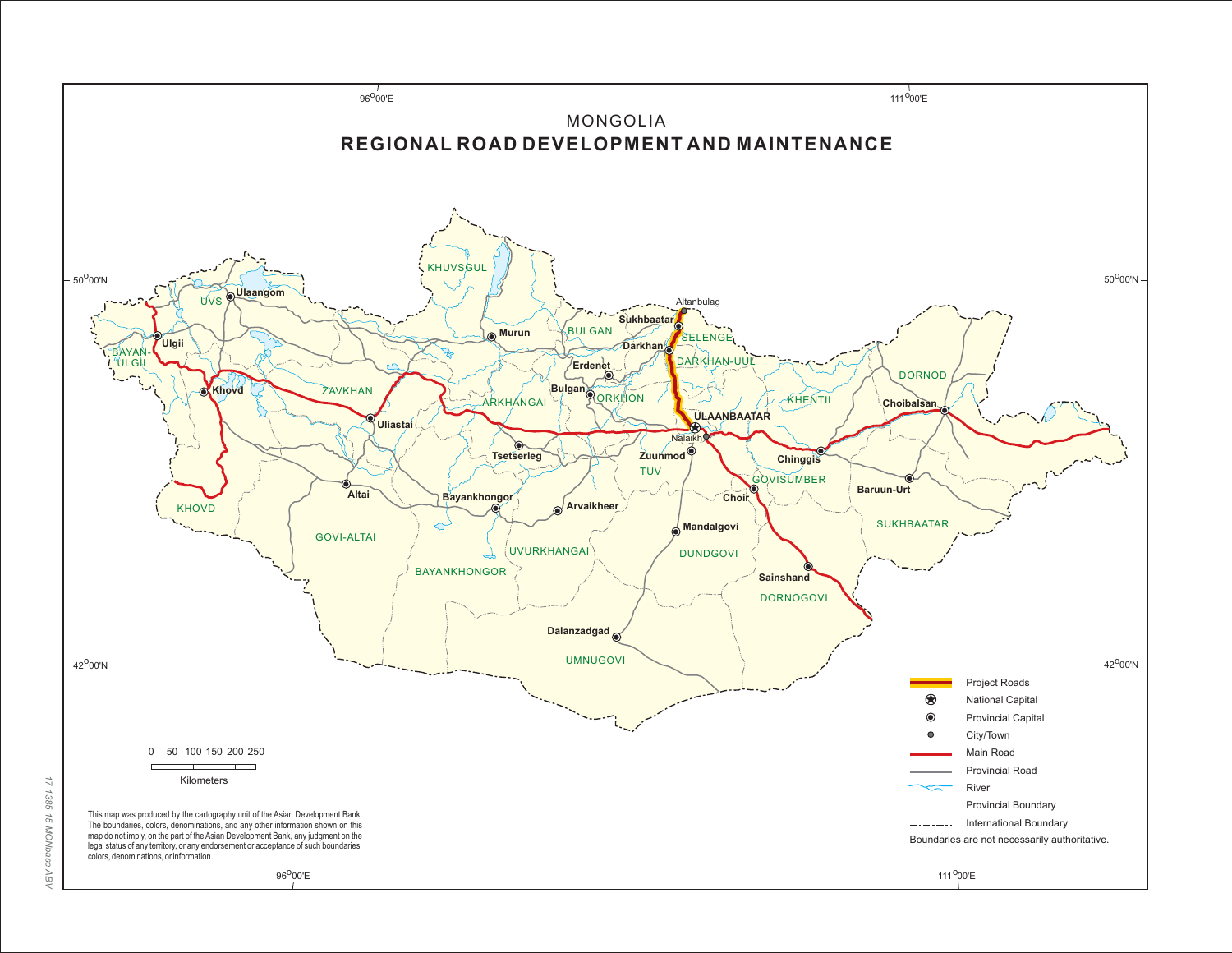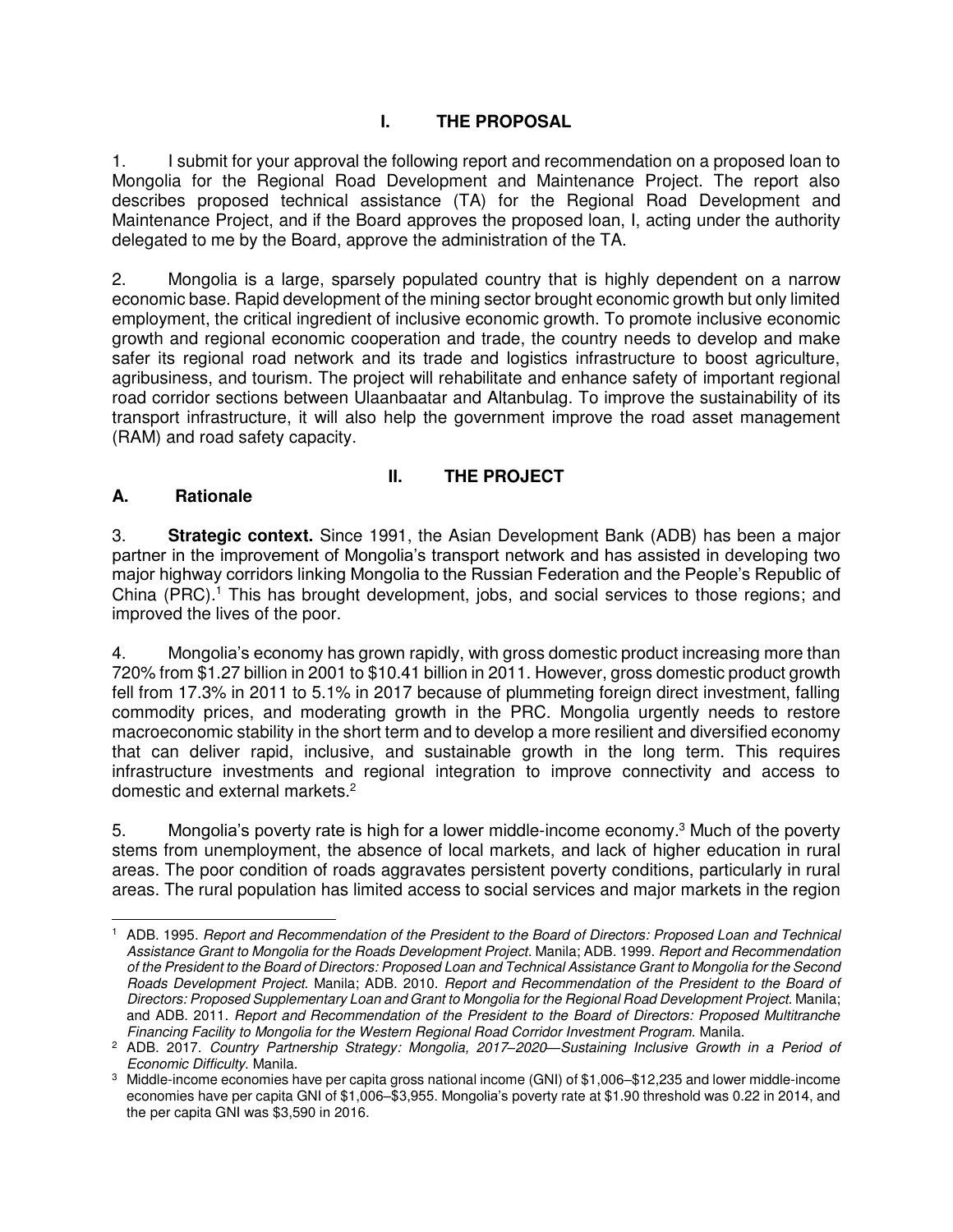### **I. THE PROPOSAL**

1. I submit for your approval the following report and recommendation on a proposed loan to Mongolia for the Regional Road Development and Maintenance Project. The report also describes proposed technical assistance (TA) for the Regional Road Development and Maintenance Project, and if the Board approves the proposed loan, I, acting under the authority delegated to me by the Board, approve the administration of the TA.

2. Mongolia is a large, sparsely populated country that is highly dependent on a narrow economic base. Rapid development of the mining sector brought economic growth but only limited employment, the critical ingredient of inclusive economic growth. To promote inclusive economic growth and regional economic cooperation and trade, the country needs to develop and make safer its regional road network and its trade and logistics infrastructure to boost agriculture, agribusiness, and tourism. The project will rehabilitate and enhance safety of important regional road corridor sections between Ulaanbaatar and Altanbulag. To improve the sustainability of its transport infrastructure, it will also help the government improve the road asset management (RAM) and road safety capacity.

#### **II. THE PROJECT**

#### **A. Rationale**

3. **Strategic context.** Since 1991, the Asian Development Bank (ADB) has been a major partner in the improvement of Mongolia's transport network and has assisted in developing two major highway corridors linking Mongolia to the Russian Federation and the People's Republic of China (PRC).<sup>1</sup> This has brought development, jobs, and social services to those regions; and improved the lives of the poor.

4. Mongolia's economy has grown rapidly, with gross domestic product increasing more than 720% from \$1.27 billion in 2001 to \$10.41 billion in 2011. However, gross domestic product growth fell from 17.3% in 2011 to 5.1% in 2017 because of plummeting foreign direct investment, falling commodity prices, and moderating growth in the PRC. Mongolia urgently needs to restore macroeconomic stability in the short term and to develop a more resilient and diversified economy that can deliver rapid, inclusive, and sustainable growth in the long term. This requires infrastructure investments and regional integration to improve connectivity and access to domestic and external markets.<sup>2</sup>

5. Mongolia's poverty rate is high for a lower middle-income economy.<sup>3</sup> Much of the poverty stems from unemployment, the absence of local markets, and lack of higher education in rural areas. The poor condition of roads aggravates persistent poverty conditions, particularly in rural areas. The rural population has limited access to social services and major markets in the region

 $\overline{a}$ 1 ADB. 1995. Report and Recommendation of the President to the Board of Directors: Proposed Loan and Technical Assistance Grant to Mongolia for the Roads Development Project. Manila; ADB. 1999. Report and Recommendation of the President to the Board of Directors: Proposed Loan and Technical Assistance Grant to Mongolia for the Second Roads Development Project. Manila; ADB. 2010. Report and Recommendation of the President to the Board of Directors: Proposed Supplementary Loan and Grant to Mongolia for the Regional Road Development Project. Manila; and ADB. 2011. Report and Recommendation of the President to the Board of Directors: Proposed Multitranche Financing Facility to Mongolia for the Western Regional Road Corridor Investment Program. Manila.

<sup>2</sup> ADB. 2017. Country Partnership Strategy: Mongolia, 2017*–*2020*—*Sustaining Inclusive Growth in a Period of Economic Difficulty. Manila.

<sup>3</sup> Middle-income economies have per capita gross national income (GNI) of \$1,006–\$12,235 and lower middle-income economies have per capita GNI of \$1,006–\$3,955. Mongolia's poverty rate at \$1.90 threshold was 0.22 in 2014, and the per capita GNI was \$3,590 in 2016.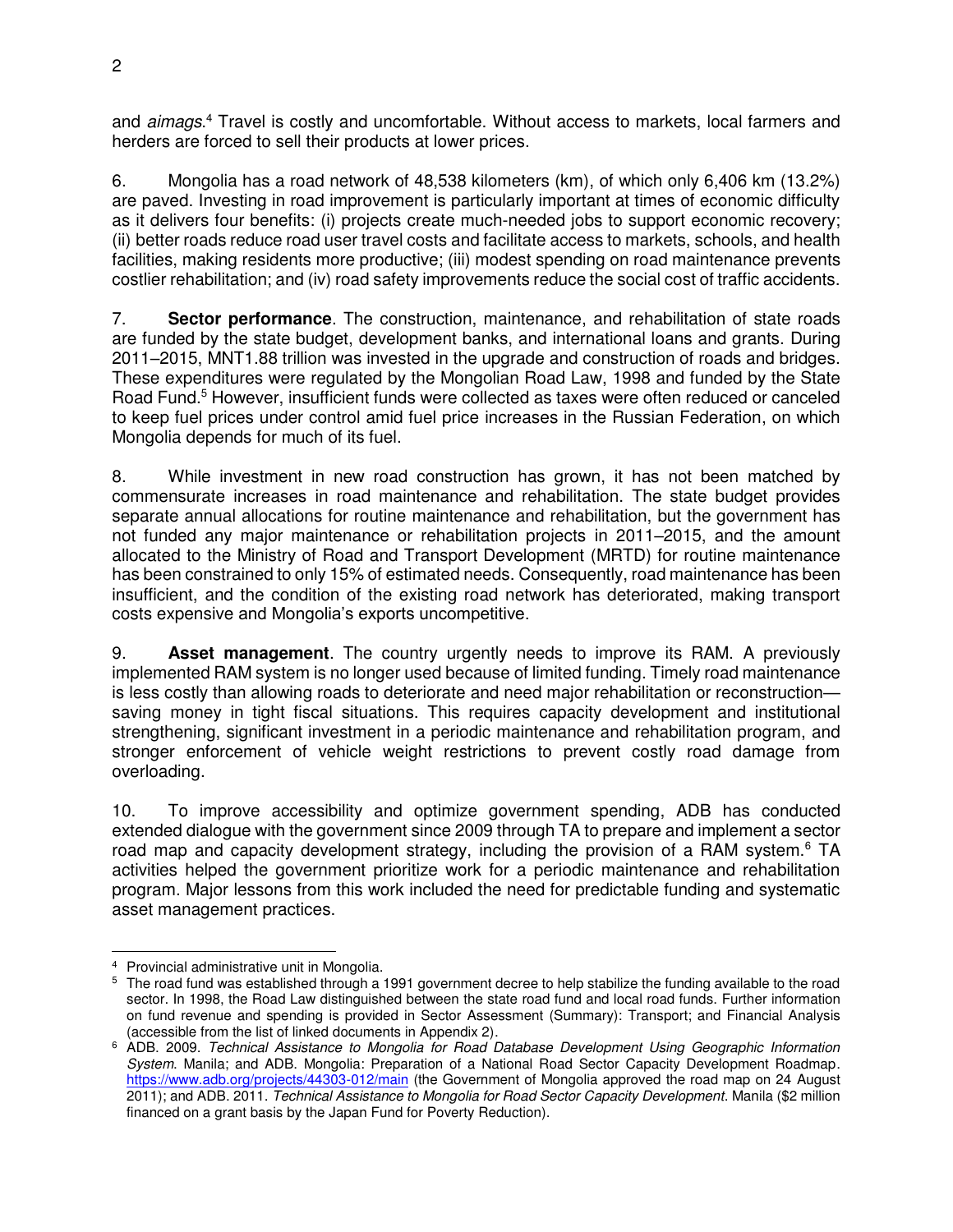and aimags.<sup>4</sup> Travel is costly and uncomfortable. Without access to markets, local farmers and herders are forced to sell their products at lower prices.

6. Mongolia has a road network of 48,538 kilometers (km), of which only 6,406 km (13.2%) are paved. Investing in road improvement is particularly important at times of economic difficulty as it delivers four benefits: (i) projects create much-needed jobs to support economic recovery; (ii) better roads reduce road user travel costs and facilitate access to markets, schools, and health facilities, making residents more productive; (iii) modest spending on road maintenance prevents costlier rehabilitation; and (iv) road safety improvements reduce the social cost of traffic accidents.

7. **Sector performance**. The construction, maintenance, and rehabilitation of state roads are funded by the state budget, development banks, and international loans and grants. During 2011–2015, MNT1.88 trillion was invested in the upgrade and construction of roads and bridges. These expenditures were regulated by the Mongolian Road Law, 1998 and funded by the State Road Fund.<sup>5</sup> However, insufficient funds were collected as taxes were often reduced or canceled to keep fuel prices under control amid fuel price increases in the Russian Federation, on which Mongolia depends for much of its fuel.

8. While investment in new road construction has grown, it has not been matched by commensurate increases in road maintenance and rehabilitation. The state budget provides separate annual allocations for routine maintenance and rehabilitation, but the government has not funded any major maintenance or rehabilitation projects in 2011–2015, and the amount allocated to the Ministry of Road and Transport Development (MRTD) for routine maintenance has been constrained to only 15% of estimated needs. Consequently, road maintenance has been insufficient, and the condition of the existing road network has deteriorated, making transport costs expensive and Mongolia's exports uncompetitive.

9. **Asset management**. The country urgently needs to improve its RAM. A previously implemented RAM system is no longer used because of limited funding. Timely road maintenance is less costly than allowing roads to deteriorate and need major rehabilitation or reconstruction saving money in tight fiscal situations. This requires capacity development and institutional strengthening, significant investment in a periodic maintenance and rehabilitation program, and stronger enforcement of vehicle weight restrictions to prevent costly road damage from overloading.

10. To improve accessibility and optimize government spending, ADB has conducted extended dialogue with the government since 2009 through TA to prepare and implement a sector road map and capacity development strategy, including the provision of a RAM system. $6$  TA activities helped the government prioritize work for a periodic maintenance and rehabilitation program. Major lessons from this work included the need for predictable funding and systematic asset management practices.

 4 Provincial administrative unit in Mongolia.

<sup>&</sup>lt;sup>5</sup> The road fund was established through a 1991 government decree to help stabilize the funding available to the road sector. In 1998, the Road Law distinguished between the state road fund and local road funds. Further information on fund revenue and spending is provided in Sector Assessment (Summary): Transport; and Financial Analysis (accessible from the list of linked documents in Appendix 2).

<sup>6</sup> ADB. 2009. Technical Assistance to Mongolia for Road Database Development Using Geographic Information System. Manila; and ADB. Mongolia: Preparation of a National Road Sector Capacity Development Roadmap. <https://www.adb.org/projects/44303-012/main>(the Government of Mongolia approved the road map on 24 August 2011); and ADB. 2011. Technical Assistance to Mongolia for Road Sector Capacity Development. Manila (\$2 million financed on a grant basis by the Japan Fund for Poverty Reduction).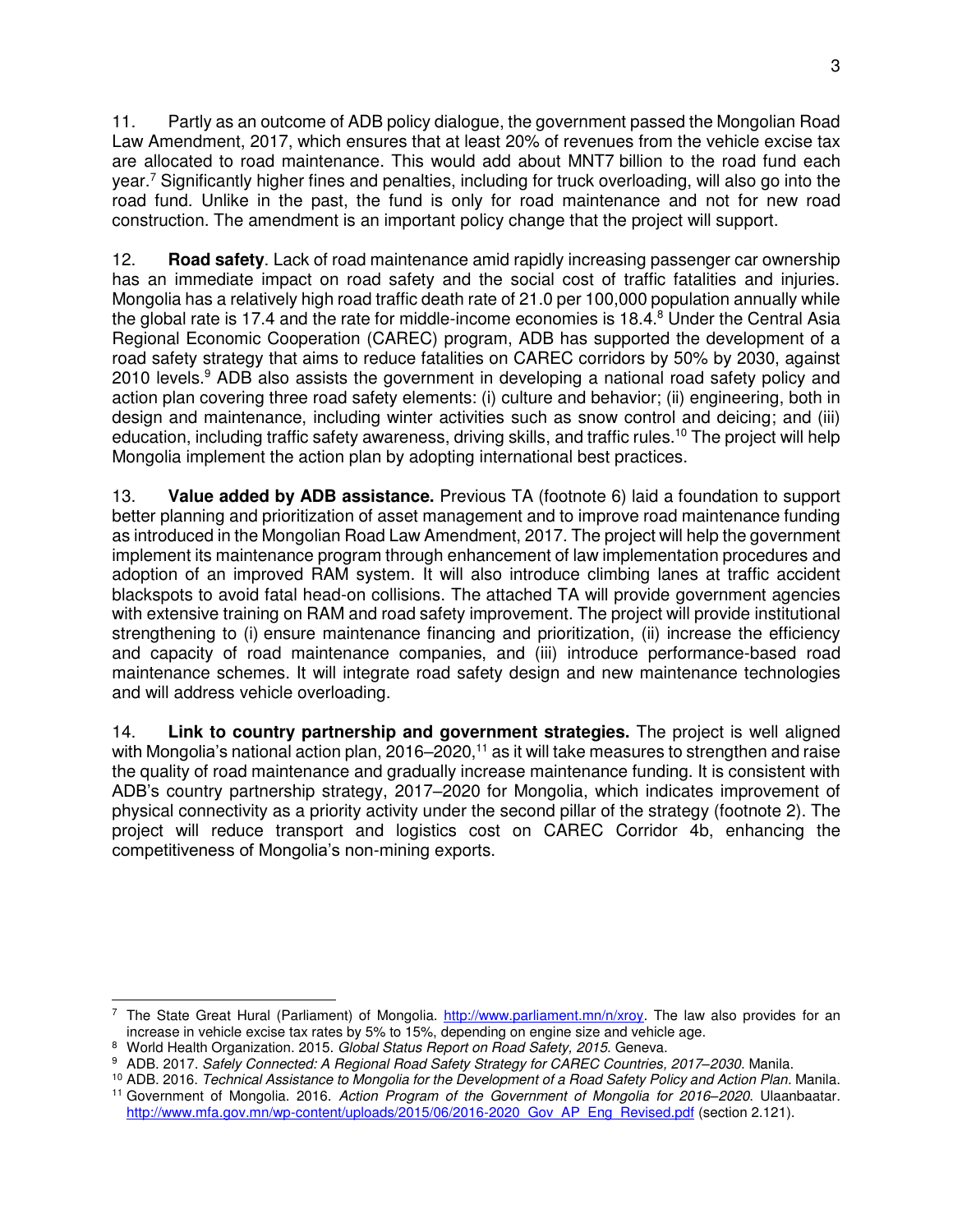11. Partly as an outcome of ADB policy dialogue, the government passed the Mongolian Road Law Amendment, 2017, which ensures that at least 20% of revenues from the vehicle excise tax are allocated to road maintenance. This would add about MNT7 billion to the road fund each year.<sup>7</sup> Significantly higher fines and penalties, including for truck overloading, will also go into the road fund. Unlike in the past, the fund is only for road maintenance and not for new road construction. The amendment is an important policy change that the project will support.

12. **Road safety**. Lack of road maintenance amid rapidly increasing passenger car ownership has an immediate impact on road safety and the social cost of traffic fatalities and injuries. Mongolia has a relatively high road traffic death rate of 21.0 per 100,000 population annually while the global rate is 17.4 and the rate for middle-income economies is 18.4.<sup>8</sup> Under the Central Asia Regional Economic Cooperation (CAREC) program, ADB has supported the development of a road safety strategy that aims to reduce fatalities on CAREC corridors by 50% by 2030, against 2010 levels.<sup>9</sup> ADB also assists the government in developing a national road safety policy and action plan covering three road safety elements: (i) culture and behavior; (ii) engineering, both in design and maintenance, including winter activities such as snow control and deicing; and (iii) education, including traffic safety awareness, driving skills, and traffic rules.<sup>10</sup> The project will help Mongolia implement the action plan by adopting international best practices.

13. **Value added by ADB assistance.** Previous TA (footnote 6) laid a foundation to support better planning and prioritization of asset management and to improve road maintenance funding as introduced in the Mongolian Road Law Amendment, 2017. The project will help the government implement its maintenance program through enhancement of law implementation procedures and adoption of an improved RAM system. It will also introduce climbing lanes at traffic accident blackspots to avoid fatal head-on collisions. The attached TA will provide government agencies with extensive training on RAM and road safety improvement. The project will provide institutional strengthening to (i) ensure maintenance financing and prioritization, (ii) increase the efficiency and capacity of road maintenance companies, and (iii) introduce performance-based road maintenance schemes. It will integrate road safety design and new maintenance technologies and will address vehicle overloading.

14. **Link to country partnership and government strategies.** The project is well aligned with Mongolia's national action plan, 2016–2020,<sup>11</sup> as it will take measures to strengthen and raise the quality of road maintenance and gradually increase maintenance funding. It is consistent with ADB's country partnership strategy, 2017–2020 for Mongolia, which indicates improvement of physical connectivity as a priority activity under the second pillar of the strategy (footnote 2). The project will reduce transport and logistics cost on CAREC Corridor 4b, enhancing the competitiveness of Mongolia's non-mining exports.

 $\overline{a}$ <sup>7</sup> The State Great Hural (Parliament) of Mongolia. [http://www.parliament.mn/n/xroy.](http://www.parliament.mn/n/xroy) The law also provides for an increase in vehicle excise tax rates by 5% to 15%, depending on engine size and vehicle age.

<sup>&</sup>lt;sup>8</sup> World Health Organization. 2015. Global Status Report on Road Safety, 2015. Geneva.

<sup>9</sup> ADB. 2017. Safely Connected: A Regional Road Safety Strategy for CAREC Countries, 2017*–*2030. Manila.

<sup>&</sup>lt;sup>10</sup> ADB. 2016. Technical Assistance to Mongolia for the Development of a Road Safety Policy and Action Plan. Manila. <sup>11</sup> Government of Mongolia. 2016. Action Program of the Government of Mongolia for 2016*–*2020. Ulaanbaatar. [http://www.mfa.gov.mn/wp-content/uploads/2015/06/2016-2020\\_Gov\\_AP\\_Eng\\_Revised.pdf](http://www.mfa.gov.mn/wp-content/uploads/2015/06/2016-2020_Gov_AP_Eng_Revised.pdf) (section 2.121).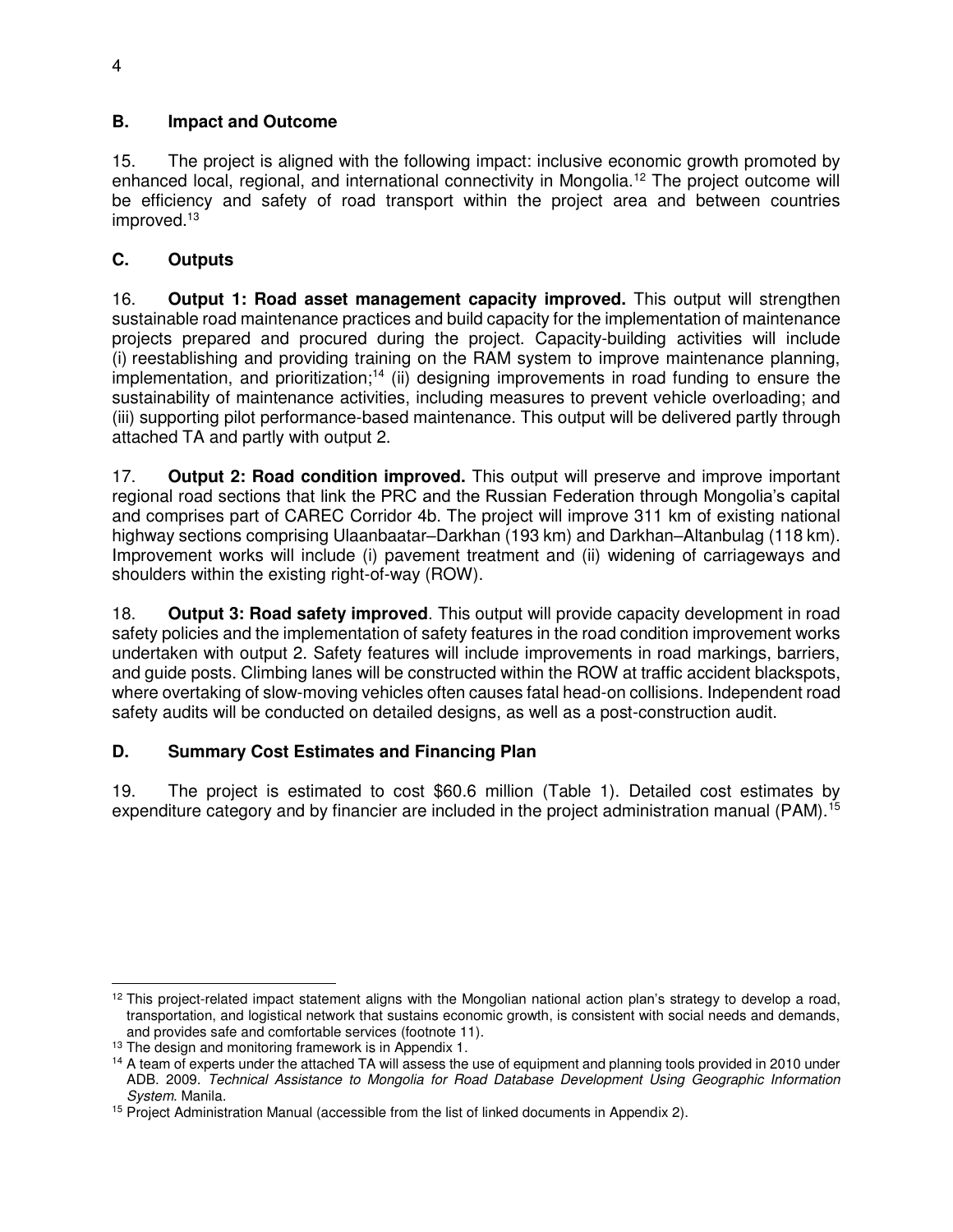#### **B. Impact and Outcome**

15. The project is aligned with the following impact: inclusive economic growth promoted by enhanced local, regional, and international connectivity in Mongolia.<sup>12</sup> The project outcome will be efficiency and safety of road transport within the project area and between countries improved.<sup>13</sup>

#### **C. Outputs**

16. **Output 1: Road asset management capacity improved.** This output will strengthen sustainable road maintenance practices and build capacity for the implementation of maintenance projects prepared and procured during the project. Capacity-building activities will include (i) reestablishing and providing training on the RAM system to improve maintenance planning, implementation, and prioritization;<sup>14</sup> (ii) designing improvements in road funding to ensure the sustainability of maintenance activities, including measures to prevent vehicle overloading; and (iii) supporting pilot performance-based maintenance. This output will be delivered partly through attached TA and partly with output 2.

17. **Output 2: Road condition improved.** This output will preserve and improve important regional road sections that link the PRC and the Russian Federation through Mongolia's capital and comprises part of CAREC Corridor 4b. The project will improve 311 km of existing national highway sections comprising Ulaanbaatar–Darkhan (193 km) and Darkhan–Altanbulag (118 km). Improvement works will include (i) pavement treatment and (ii) widening of carriageways and shoulders within the existing right-of-way (ROW).

18. **Output 3: Road safety improved**. This output will provide capacity development in road safety policies and the implementation of safety features in the road condition improvement works undertaken with output 2. Safety features will include improvements in road markings, barriers, and guide posts. Climbing lanes will be constructed within the ROW at traffic accident blackspots, where overtaking of slow-moving vehicles often causes fatal head-on collisions. Independent road safety audits will be conducted on detailed designs, as well as a post-construction audit.

#### **D. Summary Cost Estimates and Financing Plan**

19. The project is estimated to cost \$60.6 million (Table 1). Detailed cost estimates by expenditure category and by financier are included in the project administration manual (PAM).<sup>15</sup>

  $12$  This project-related impact statement aligns with the Mongolian national action plan's strategy to develop a road, transportation, and logistical network that sustains economic growth, is consistent with social needs and demands, and provides safe and comfortable services (footnote 11).

<sup>&</sup>lt;sup>13</sup> The design and monitoring framework is in Appendix 1.

<sup>&</sup>lt;sup>14</sup> A team of experts under the attached TA will assess the use of equipment and planning tools provided in 2010 under ADB. 2009. Technical Assistance to Mongolia for Road Database Development Using Geographic Information System. Manila.

<sup>&</sup>lt;sup>15</sup> Project Administration Manual (accessible from the list of linked documents in Appendix 2).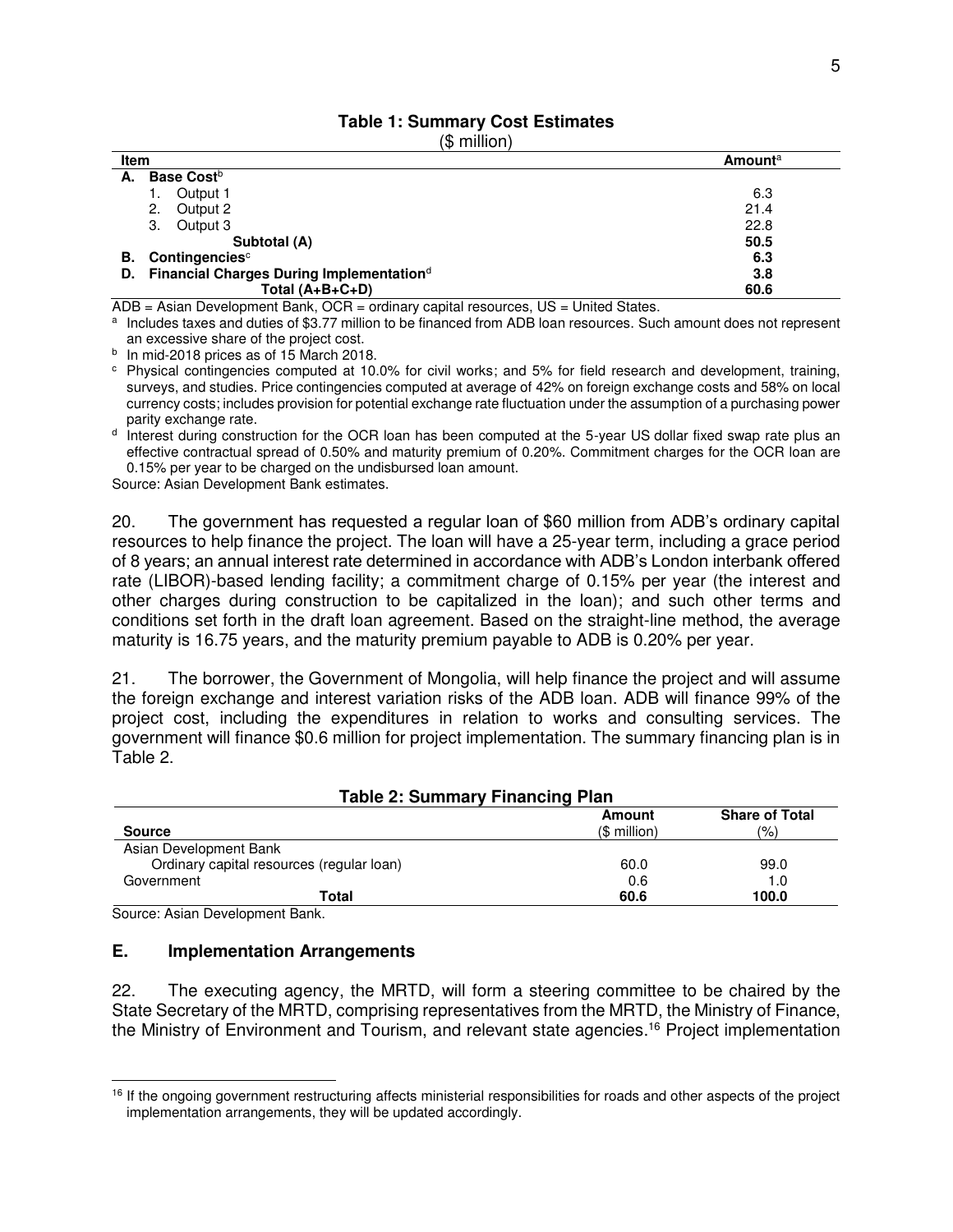#### **Table 1: Summary Cost Estimates**   $($  $$$  million)

| Item                                                    | <b>Amount</b> <sup>a</sup> |
|---------------------------------------------------------|----------------------------|
| <b>Base Cost</b> <sup>b</sup><br>А.                     |                            |
| Output 1                                                | 6.3                        |
| Output 2<br>2.                                          | 21.4                       |
| 3.<br>Output 3                                          | 22.8                       |
| Subtotal (A)                                            | 50.5                       |
| Contingencies <sup>c</sup><br>В.                        | 6.3                        |
| D. Financial Charges During Implementation <sup>d</sup> | 3.8                        |
| Total $(A+B+C+D)$                                       | 60.6                       |

ADB = Asian Development Bank, OCR = ordinary capital resources, US = United States.

a Includes taxes and duties of \$3.77 million to be financed from ADB loan resources. Such amount does not represent an excessive share of the project cost.

<sup>b</sup> In mid-2018 prices as of 15 March 2018.

c Physical contingencies computed at 10.0% for civil works; and 5% for field research and development, training, surveys, and studies. Price contingencies computed at average of 42% on foreign exchange costs and 58% on local currency costs; includes provision for potential exchange rate fluctuation under the assumption of a purchasing power parity exchange rate.

<sup>d</sup> Interest during construction for the OCR loan has been computed at the 5-year US dollar fixed swap rate plus an effective contractual spread of 0.50% and maturity premium of 0.20%. Commitment charges for the OCR loan are 0.15% per year to be charged on the undisbursed loan amount.

Source: Asian Development Bank estimates.

20. The government has requested a regular loan of \$60 million from ADB's ordinary capital resources to help finance the project. The loan will have a 25-year term, including a grace period of 8 years; an annual interest rate determined in accordance with ADB's London interbank offered rate (LIBOR)-based lending facility; a commitment charge of 0.15% per year (the interest and other charges during construction to be capitalized in the loan); and such other terms and conditions set forth in the draft loan agreement. Based on the straight-line method, the average maturity is 16.75 years, and the maturity premium payable to ADB is 0.20% per year.

21. The borrower, the Government of Mongolia, will help finance the project and will assume the foreign exchange and interest variation risks of the ADB loan. ADB will finance 99% of the project cost, including the expenditures in relation to works and consulting services. The government will finance \$0.6 million for project implementation. The summary financing plan is in Table 2.

| <b>Table 2: Summary Financing Plan</b>    |                        |                                        |  |
|-------------------------------------------|------------------------|----------------------------------------|--|
| <b>Source</b>                             | Amount<br>$$$ million) | <b>Share of Total</b><br>$\frac{1}{2}$ |  |
| Asian Development Bank                    |                        |                                        |  |
| Ordinary capital resources (regular loan) | 60.0                   | 99.0                                   |  |
| Government                                | 0.6                    | 1.0                                    |  |
| Total                                     | 60.6                   | 100.0                                  |  |

Source: Asian Development Bank.

 $\overline{a}$ 

#### **E. Implementation Arrangements**

22. The executing agency, the MRTD, will form a steering committee to be chaired by the State Secretary of the MRTD, comprising representatives from the MRTD, the Ministry of Finance, the Ministry of Environment and Tourism, and relevant state agencies.<sup>16</sup> Project implementation

<sup>&</sup>lt;sup>16</sup> If the ongoing government restructuring affects ministerial responsibilities for roads and other aspects of the project implementation arrangements, they will be updated accordingly.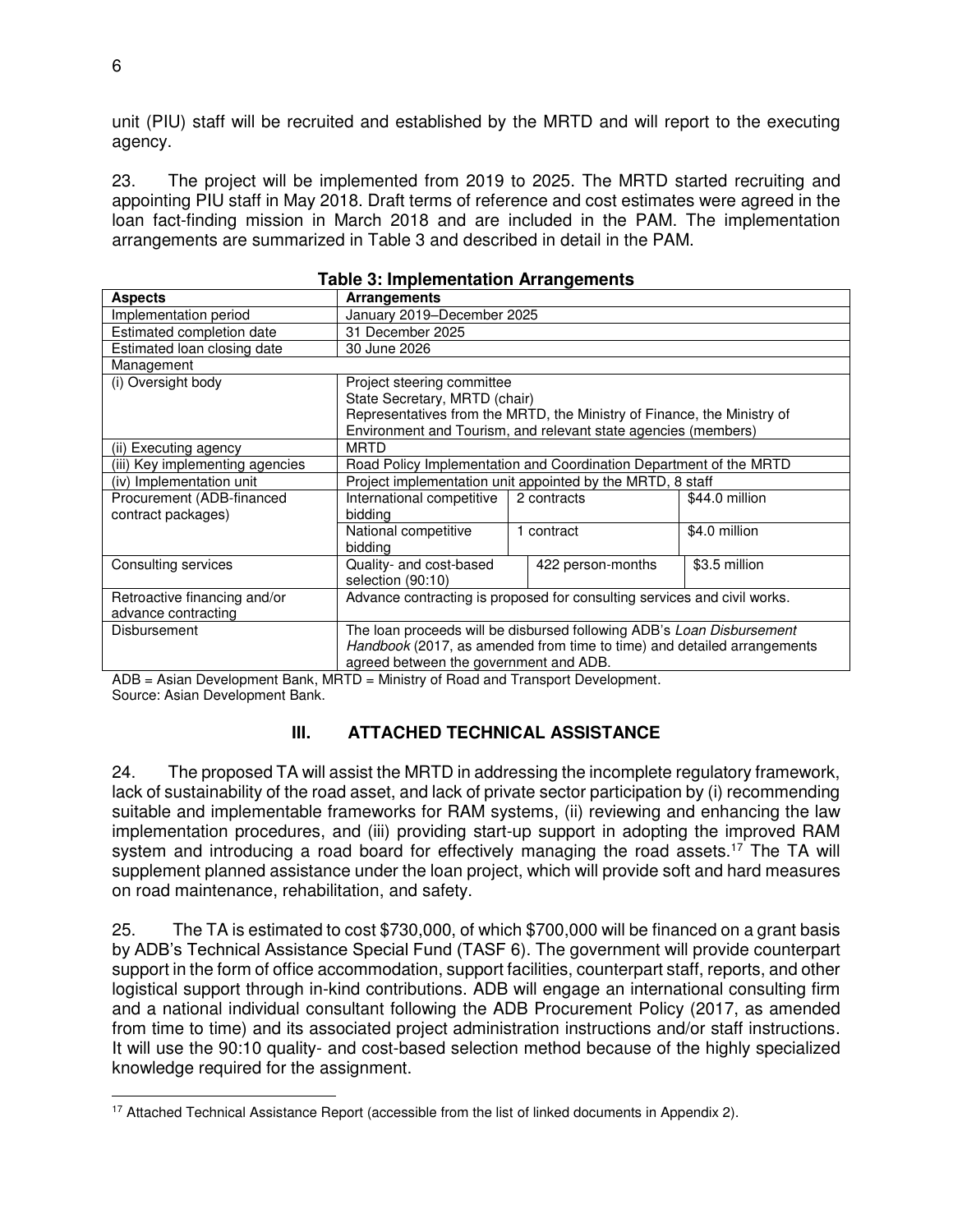unit (PIU) staff will be recruited and established by the MRTD and will report to the executing agency.

23. The project will be implemented from 2019 to 2025. The MRTD started recruiting and appointing PIU staff in May 2018. Draft terms of reference and cost estimates were agreed in the loan fact-finding mission in March 2018 and are included in the PAM. The implementation arrangements are summarized in Table 3 and described in detail in the PAM.

| <u>rabic 3. implementation Arrangements</u> |                                                                          |                                                                         |                |  |
|---------------------------------------------|--------------------------------------------------------------------------|-------------------------------------------------------------------------|----------------|--|
| <b>Aspects</b>                              | <b>Arrangements</b>                                                      |                                                                         |                |  |
| Implementation period                       | January 2019-December 2025                                               |                                                                         |                |  |
| Estimated completion date                   | 31 December 2025                                                         |                                                                         |                |  |
| Estimated loan closing date                 | 30 June 2026                                                             |                                                                         |                |  |
| Management                                  |                                                                          |                                                                         |                |  |
| (i) Oversight body                          | Project steering committee                                               |                                                                         |                |  |
|                                             | State Secretary, MRTD (chair)                                            |                                                                         |                |  |
|                                             |                                                                          | Representatives from the MRTD, the Ministry of Finance, the Ministry of |                |  |
|                                             |                                                                          | Environment and Tourism, and relevant state agencies (members)          |                |  |
| (ii) Executing agency                       | <b>MRTD</b>                                                              |                                                                         |                |  |
| (iii) Key implementing agencies             |                                                                          | Road Policy Implementation and Coordination Department of the MRTD      |                |  |
| (iv) Implementation unit                    |                                                                          | Project implementation unit appointed by the MRTD, 8 staff              |                |  |
| Procurement (ADB-financed                   | International competitive                                                | 2 contracts                                                             | \$44.0 million |  |
| contract packages)                          | bidding                                                                  |                                                                         |                |  |
|                                             | National competitive                                                     | 1 contract                                                              | \$4.0 million  |  |
|                                             | bidding                                                                  |                                                                         |                |  |
| Consulting services                         | Quality- and cost-based                                                  | 422 person-months                                                       | \$3.5 million  |  |
|                                             | selection (90:10)                                                        |                                                                         |                |  |
| Retroactive financing and/or                | Advance contracting is proposed for consulting services and civil works. |                                                                         |                |  |
| advance contracting                         |                                                                          |                                                                         |                |  |
| <b>Disbursement</b>                         | The loan proceeds will be disbursed following ADB's Loan Disbursement    |                                                                         |                |  |
|                                             | Handbook (2017, as amended from time to time) and detailed arrangements  |                                                                         |                |  |
|                                             | agreed between the government and ADB.                                   |                                                                         |                |  |

| <b>Table 3: Implementation Arrangements</b> |  |
|---------------------------------------------|--|
|---------------------------------------------|--|

ADB = Asian Development Bank, MRTD = Ministry of Road and Transport Development. Source: Asian Development Bank.

#### **III. ATTACHED TECHNICAL ASSISTANCE**

24. The proposed TA will assist the MRTD in addressing the incomplete regulatory framework, lack of sustainability of the road asset, and lack of private sector participation by (i) recommending suitable and implementable frameworks for RAM systems, (ii) reviewing and enhancing the law implementation procedures, and (iii) providing start-up support in adopting the improved RAM system and introducing a road board for effectively managing the road assets.<sup>17</sup> The TA will supplement planned assistance under the loan project, which will provide soft and hard measures on road maintenance, rehabilitation, and safety.

25. The TA is estimated to cost \$730,000, of which \$700,000 will be financed on a grant basis by ADB's Technical Assistance Special Fund (TASF 6). The government will provide counterpart support in the form of office accommodation, support facilities, counterpart staff, reports, and other logistical support through in-kind contributions. ADB will engage an international consulting firm and a national individual consultant following the ADB Procurement Policy (2017, as amended from time to time) and its associated project administration instructions and/or staff instructions. It will use the 90:10 quality- and cost-based selection method because of the highly specialized knowledge required for the assignment.

 $\overline{a}$ <sup>17</sup> Attached Technical Assistance Report (accessible from the list of linked documents in Appendix 2).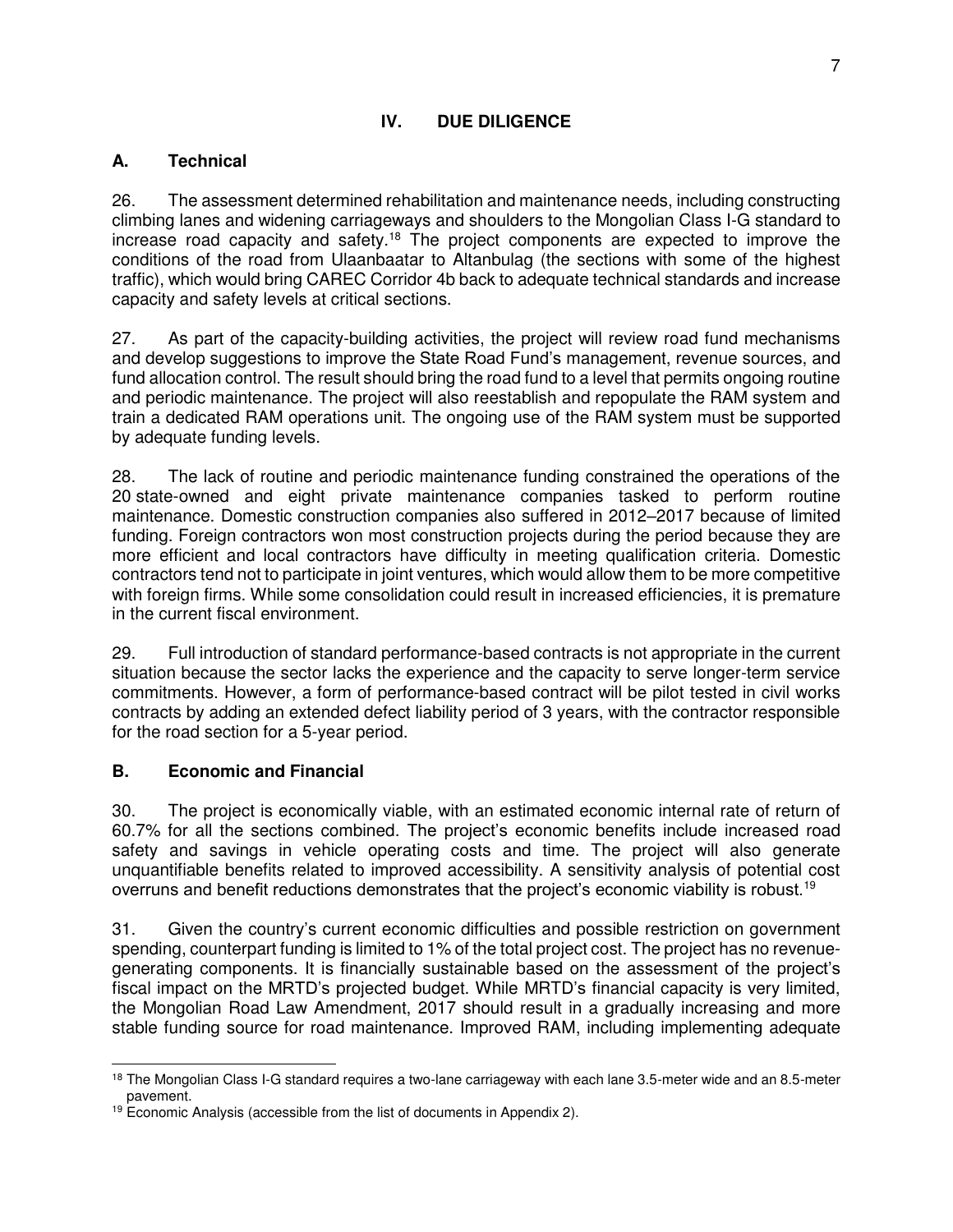### **IV. DUE DILIGENCE**

### **A. Technical**

26. The assessment determined rehabilitation and maintenance needs, including constructing climbing lanes and widening carriageways and shoulders to the Mongolian Class I-G standard to increase road capacity and safety.<sup>18</sup> The project components are expected to improve the conditions of the road from Ulaanbaatar to Altanbulag (the sections with some of the highest traffic), which would bring CAREC Corridor 4b back to adequate technical standards and increase capacity and safety levels at critical sections.

27. As part of the capacity-building activities, the project will review road fund mechanisms and develop suggestions to improve the State Road Fund's management, revenue sources, and fund allocation control. The result should bring the road fund to a level that permits ongoing routine and periodic maintenance. The project will also reestablish and repopulate the RAM system and train a dedicated RAM operations unit. The ongoing use of the RAM system must be supported by adequate funding levels.

28. The lack of routine and periodic maintenance funding constrained the operations of the 20 state-owned and eight private maintenance companies tasked to perform routine maintenance. Domestic construction companies also suffered in 2012–2017 because of limited funding. Foreign contractors won most construction projects during the period because they are more efficient and local contractors have difficulty in meeting qualification criteria. Domestic contractors tend not to participate in joint ventures, which would allow them to be more competitive with foreign firms. While some consolidation could result in increased efficiencies, it is premature in the current fiscal environment.

29. Full introduction of standard performance-based contracts is not appropriate in the current situation because the sector lacks the experience and the capacity to serve longer-term service commitments. However, a form of performance-based contract will be pilot tested in civil works contracts by adding an extended defect liability period of 3 years, with the contractor responsible for the road section for a 5-year period.

#### **B. Economic and Financial**

30. The project is economically viable, with an estimated economic internal rate of return of 60.7% for all the sections combined. The project's economic benefits include increased road safety and savings in vehicle operating costs and time. The project will also generate unquantifiable benefits related to improved accessibility. A sensitivity analysis of potential cost overruns and benefit reductions demonstrates that the project's economic viability is robust.<sup>19</sup>

31. Given the country's current economic difficulties and possible restriction on government spending, counterpart funding is limited to 1% of the total project cost. The project has no revenuegenerating components. It is financially sustainable based on the assessment of the project's fiscal impact on the MRTD's projected budget. While MRTD's financial capacity is very limited, the Mongolian Road Law Amendment, 2017 should result in a gradually increasing and more stable funding source for road maintenance. Improved RAM, including implementing adequate

 $\overline{a}$ <sup>18</sup> The Mongolian Class I-G standard requires a two-lane carriageway with each lane 3.5-meter wide and an 8.5-meter pavement.

 $19$  Economic Analysis (accessible from the list of documents in Appendix 2).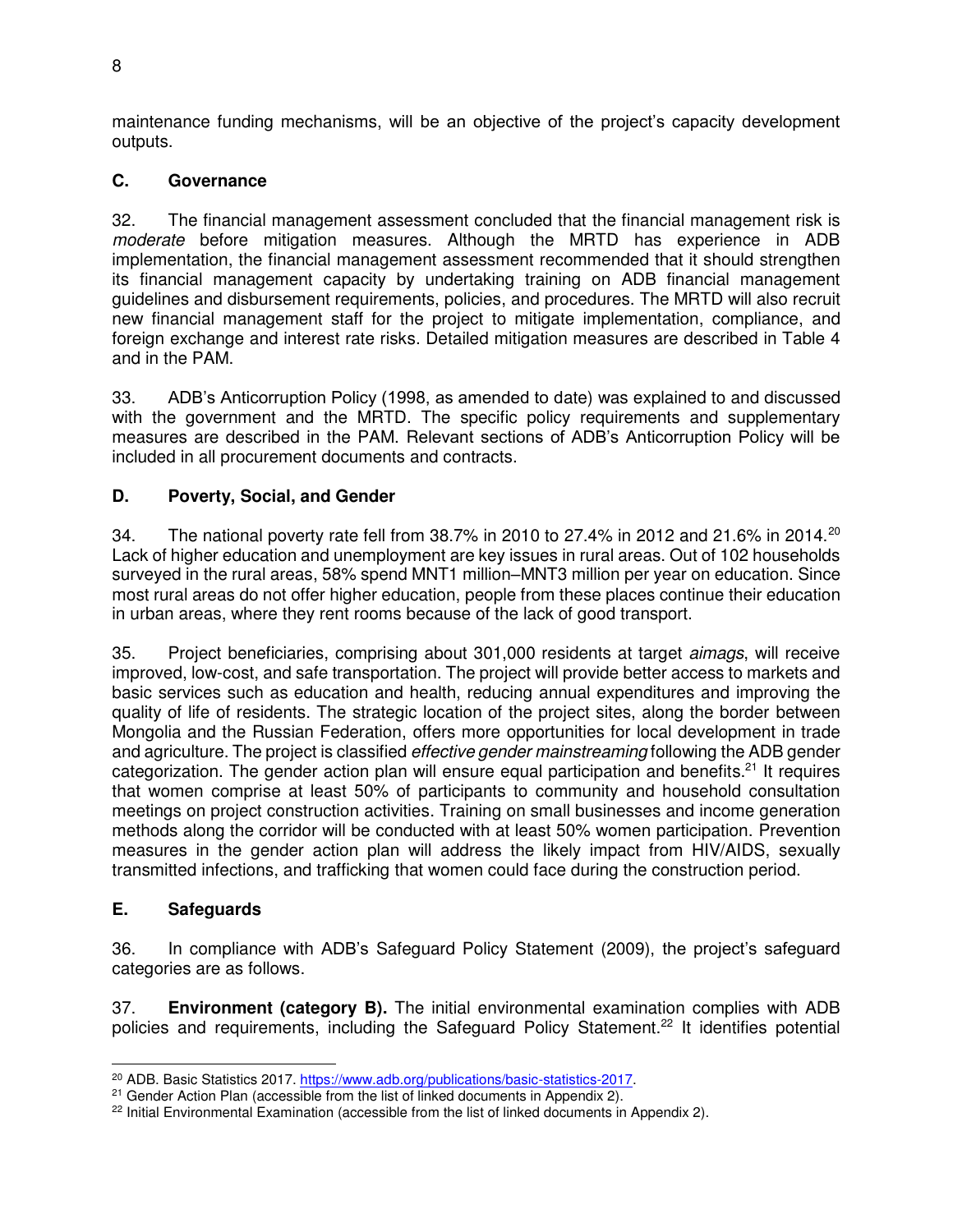maintenance funding mechanisms, will be an objective of the project's capacity development outputs.

### **C. Governance**

32. The financial management assessment concluded that the financial management risk is moderate before mitigation measures. Although the MRTD has experience in ADB implementation, the financial management assessment recommended that it should strengthen its financial management capacity by undertaking training on ADB financial management guidelines and disbursement requirements, policies, and procedures. The MRTD will also recruit new financial management staff for the project to mitigate implementation, compliance, and foreign exchange and interest rate risks. Detailed mitigation measures are described in Table 4 and in the PAM.

33. ADB's Anticorruption Policy (1998, as amended to date) was explained to and discussed with the government and the MRTD. The specific policy requirements and supplementary measures are described in the PAM. Relevant sections of ADB's Anticorruption Policy will be included in all procurement documents and contracts.

### **D. Poverty, Social, and Gender**

34. The national poverty rate fell from 38.7% in 2010 to 27.4% in 2012 and 21.6% in 2014.<sup>20</sup> Lack of higher education and unemployment are key issues in rural areas. Out of 102 households surveyed in the rural areas, 58% spend MNT1 million–MNT3 million per year on education. Since most rural areas do not offer higher education, people from these places continue their education in urban areas, where they rent rooms because of the lack of good transport.

35. Project beneficiaries, comprising about 301,000 residents at target aimags, will receive improved, low-cost, and safe transportation. The project will provide better access to markets and basic services such as education and health, reducing annual expenditures and improving the quality of life of residents. The strategic location of the project sites, along the border between Mongolia and the Russian Federation, offers more opportunities for local development in trade and agriculture. The project is classified *effective gender mainstreaming* following the ADB gender categorization. The gender action plan will ensure equal participation and benefits.<sup>21</sup> It requires that women comprise at least 50% of participants to community and household consultation meetings on project construction activities. Training on small businesses and income generation methods along the corridor will be conducted with at least 50% women participation. Prevention measures in the gender action plan will address the likely impact from HIV/AIDS, sexually transmitted infections, and trafficking that women could face during the construction period.

#### **E. Safeguards**

36. In compliance with ADB's Safeguard Policy Statement (2009), the project's safeguard categories are as follows.

37. **Environment (category B).** The initial environmental examination complies with ADB policies and requirements, including the Safeguard Policy Statement.<sup>22</sup> It identifies potential

 $\overline{a}$ <sup>20</sup> ADB. Basic Statistics 2017. [https://www.adb.org/publications/basic-statistics-2017.](https://www.adb.org/publications/basic-statistics-2017)

<sup>&</sup>lt;sup>21</sup> Gender Action Plan (accessible from the list of linked documents in Appendix 2).

<sup>&</sup>lt;sup>22</sup> Initial Environmental Examination (accessible from the list of linked documents in Appendix 2).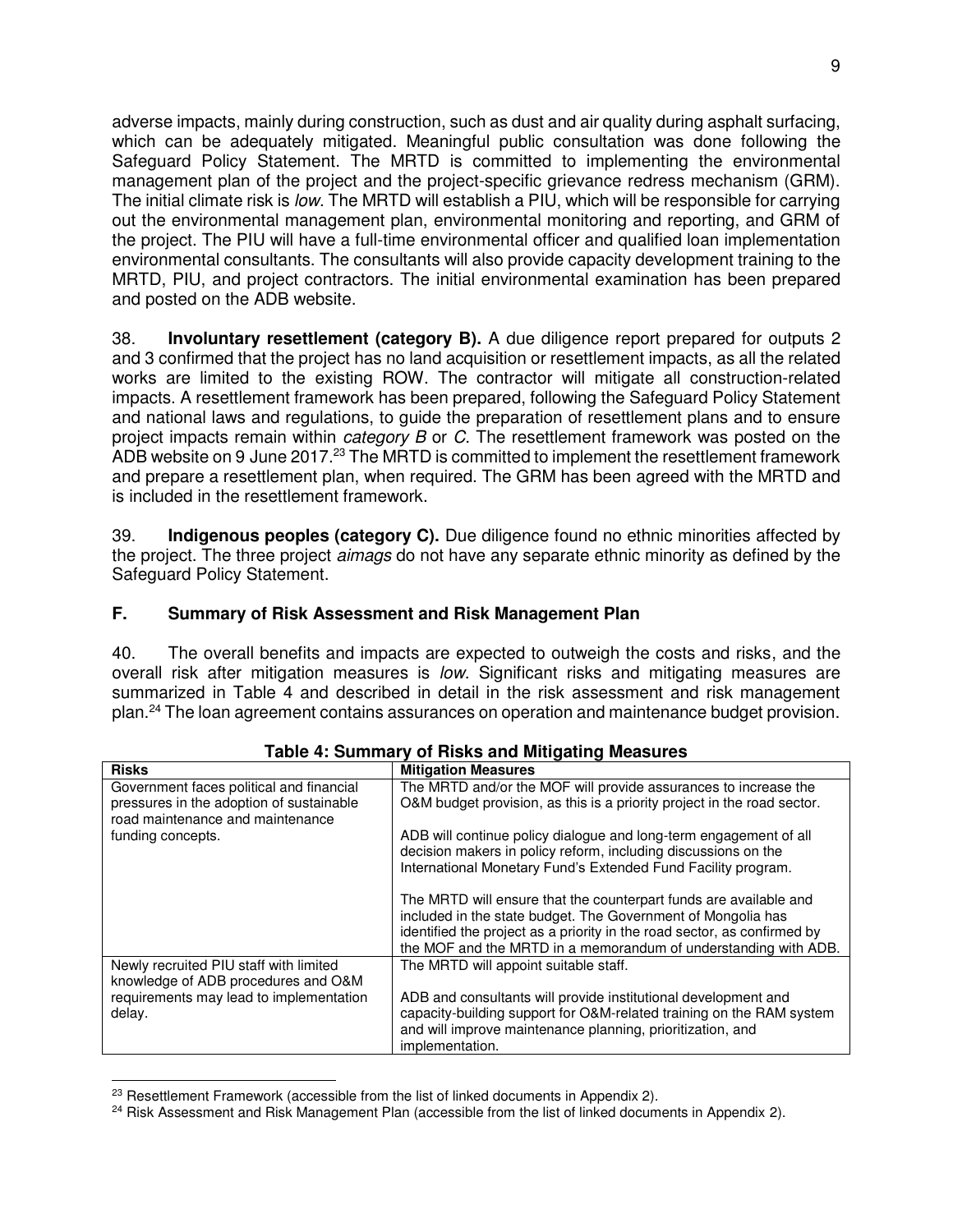adverse impacts, mainly during construction, such as dust and air quality during asphalt surfacing, which can be adequately mitigated. Meaningful public consultation was done following the Safeguard Policy Statement. The MRTD is committed to implementing the environmental management plan of the project and the project-specific grievance redress mechanism (GRM). The initial climate risk is low. The MRTD will establish a PIU, which will be responsible for carrying out the environmental management plan, environmental monitoring and reporting, and GRM of the project. The PIU will have a full-time environmental officer and qualified loan implementation environmental consultants. The consultants will also provide capacity development training to the MRTD, PIU, and project contractors. The initial environmental examination has been prepared and posted on the ADB website.

38. **Involuntary resettlement (category B).** A due diligence report prepared for outputs 2 and 3 confirmed that the project has no land acquisition or resettlement impacts, as all the related works are limited to the existing ROW. The contractor will mitigate all construction-related impacts. A resettlement framework has been prepared, following the Safeguard Policy Statement and national laws and regulations, to guide the preparation of resettlement plans and to ensure project impacts remain within *category B* or C. The resettlement framework was posted on the ADB website on 9 June 2017.<sup>23</sup> The MRTD is committed to implement the resettlement framework and prepare a resettlement plan, when required. The GRM has been agreed with the MRTD and is included in the resettlement framework.

39. **Indigenous peoples (category C).** Due diligence found no ethnic minorities affected by the project. The three project aimags do not have any separate ethnic minority as defined by the Safeguard Policy Statement.

#### **F. Summary of Risk Assessment and Risk Management Plan**

40. The overall benefits and impacts are expected to outweigh the costs and risks, and the overall risk after mitigation measures is low. Significant risks and mitigating measures are summarized in Table 4 and described in detail in the risk assessment and risk management plan.<sup>24</sup> The loan agreement contains assurances on operation and maintenance budget provision.

| <b>Risks</b>                                                                 | <b>Mitigation Measures</b>                                                                                                               |
|------------------------------------------------------------------------------|------------------------------------------------------------------------------------------------------------------------------------------|
| Government faces political and financial                                     | The MRTD and/or the MOF will provide assurances to increase the                                                                          |
| pressures in the adoption of sustainable<br>road maintenance and maintenance | O&M budget provision, as this is a priority project in the road sector.                                                                  |
| funding concepts.                                                            | ADB will continue policy dialogue and long-term engagement of all<br>decision makers in policy reform, including discussions on the      |
|                                                                              | International Monetary Fund's Extended Fund Facility program.                                                                            |
|                                                                              | The MRTD will ensure that the counterpart funds are available and                                                                        |
|                                                                              | included in the state budget. The Government of Mongolia has<br>identified the project as a priority in the road sector, as confirmed by |
|                                                                              | the MOF and the MRTD in a memorandum of understanding with ADB.                                                                          |
| Newly recruited PIU staff with limited                                       | The MRTD will appoint suitable staff.                                                                                                    |
| knowledge of ADB procedures and O&M                                          |                                                                                                                                          |
| requirements may lead to implementation                                      | ADB and consultants will provide institutional development and                                                                           |
| delay.                                                                       | capacity-building support for O&M-related training on the RAM system                                                                     |
|                                                                              | and will improve maintenance planning, prioritization, and<br>implementation.                                                            |

#### **Table 4: Summary of Risks and Mitigating Measures**

 $\overline{a}$  $23$  Resettlement Framework (accessible from the list of linked documents in Appendix 2).

<sup>&</sup>lt;sup>24</sup> Risk Assessment and Risk Management Plan (accessible from the list of linked documents in Appendix 2).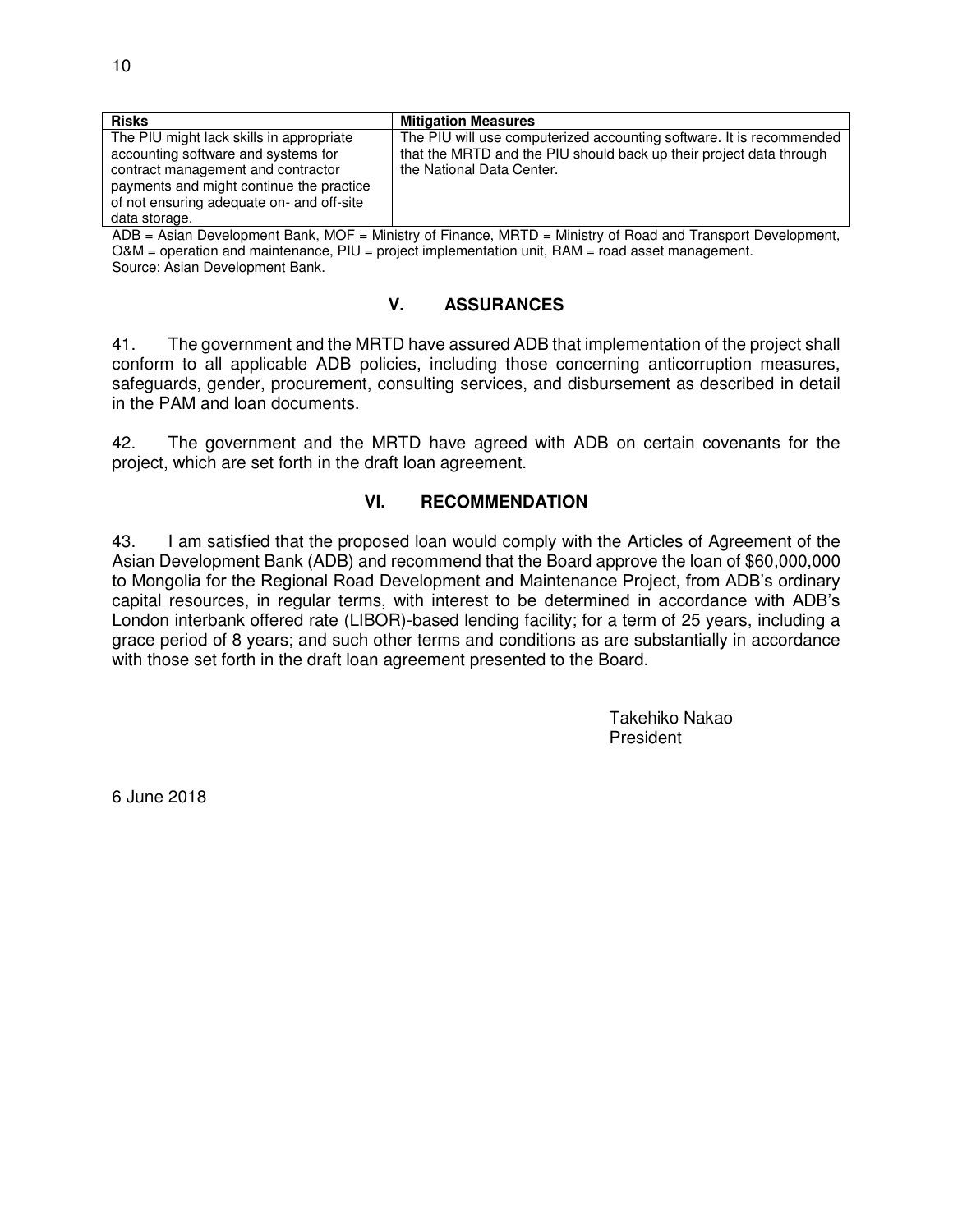| <b>Risks</b>                                                                                                                                                                                                                    | <b>Mitigation Measures</b>                                                                                                                                               |
|---------------------------------------------------------------------------------------------------------------------------------------------------------------------------------------------------------------------------------|--------------------------------------------------------------------------------------------------------------------------------------------------------------------------|
| The PIU might lack skills in appropriate<br>accounting software and systems for<br>contract management and contractor<br>payments and might continue the practice<br>of not ensuring adequate on- and off-site<br>data storage. | The PIU will use computerized accounting software. It is recommended<br>that the MRTD and the PIU should back up their project data through<br>the National Data Center. |

ADB = Asian Development Bank, MOF = Ministry of Finance, MRTD = Ministry of Road and Transport Development, O&M = operation and maintenance, PIU = project implementation unit, RAM = road asset management. Source: Asian Development Bank.

#### **V. ASSURANCES**

41. The government and the MRTD have assured ADB that implementation of the project shall conform to all applicable ADB policies, including those concerning anticorruption measures, safeguards, gender, procurement, consulting services, and disbursement as described in detail in the PAM and loan documents.

42. The government and the MRTD have agreed with ADB on certain covenants for the project, which are set forth in the draft loan agreement.

#### **VI. RECOMMENDATION**

43. I am satisfied that the proposed loan would comply with the Articles of Agreement of the Asian Development Bank (ADB) and recommend that the Board approve the loan of \$60,000,000 to Mongolia for the Regional Road Development and Maintenance Project, from ADB's ordinary capital resources, in regular terms, with interest to be determined in accordance with ADB's London interbank offered rate (LIBOR)-based lending facility; for a term of 25 years, including a grace period of 8 years; and such other terms and conditions as are substantially in accordance with those set forth in the draft loan agreement presented to the Board.

> Takehiko Nakao President

6 June 2018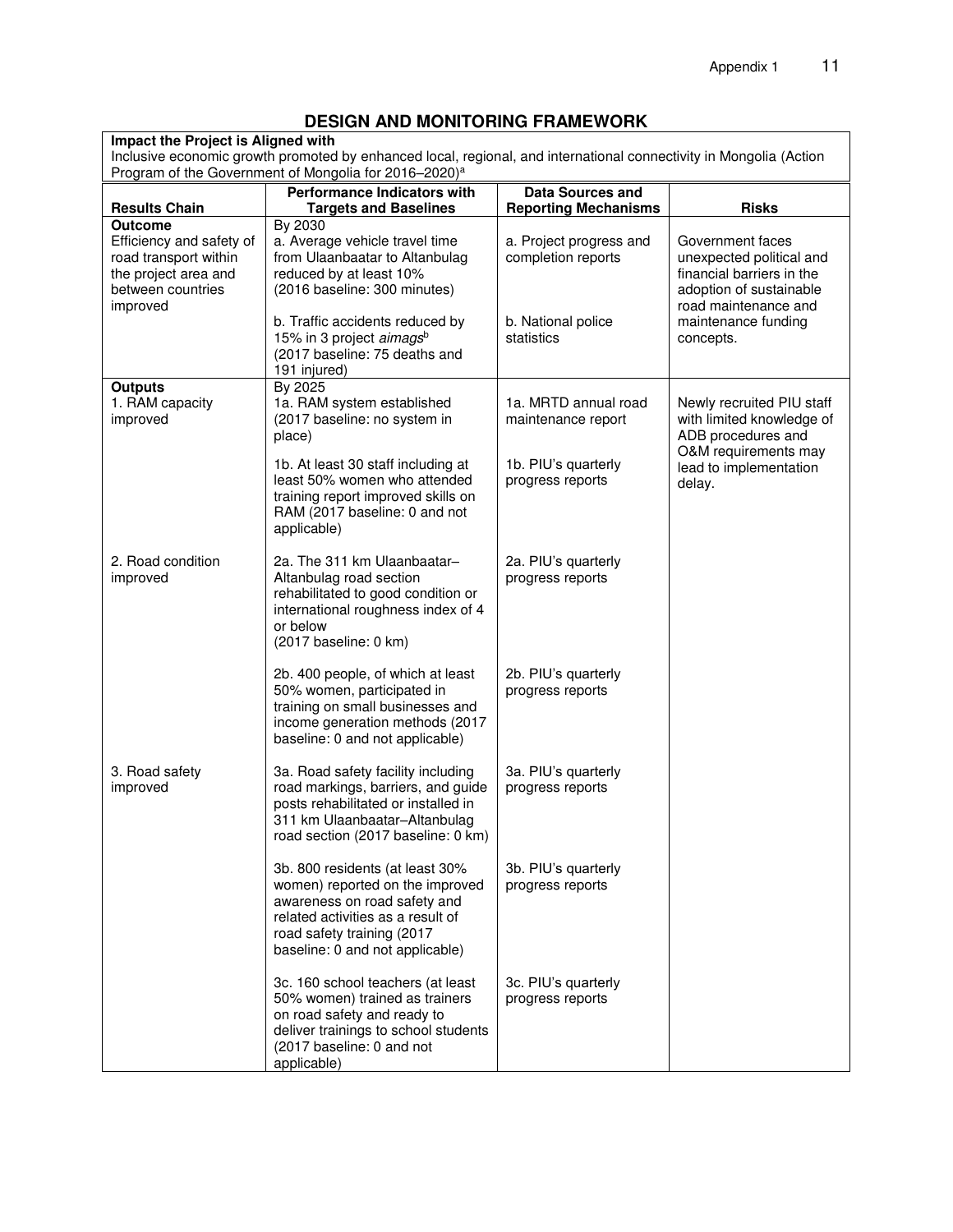# **DESIGN AND MONITORING FRAMEWORK**

**Impact the Project is Aligned with** Inclusive economic growth promoted by enhanced local, regional, and international connectivity in Mongolia (Action Program of the Government of Mongolia for 2016–2020)<sup>a</sup>

|                                                                                                                              | <b>Performance Indicators with</b>                                                                                                                                                                       | <b>Data Sources and</b>                                             |                                                                                                                                                     |
|------------------------------------------------------------------------------------------------------------------------------|----------------------------------------------------------------------------------------------------------------------------------------------------------------------------------------------------------|---------------------------------------------------------------------|-----------------------------------------------------------------------------------------------------------------------------------------------------|
| <b>Results Chain</b>                                                                                                         | <b>Targets and Baselines</b><br>By 2030                                                                                                                                                                  | <b>Reporting Mechanisms</b>                                         | <b>Risks</b>                                                                                                                                        |
| <b>Outcome</b><br>Efficiency and safety of<br>road transport within<br>the project area and<br>between countries<br>improved | a. Average vehicle travel time<br>from Ulaanbaatar to Altanbulag<br>reduced by at least 10%<br>(2016 baseline: 300 minutes)<br>b. Traffic accidents reduced by                                           | a. Project progress and<br>completion reports<br>b. National police | Government faces<br>unexpected political and<br>financial barriers in the<br>adoption of sustainable<br>road maintenance and<br>maintenance funding |
|                                                                                                                              | 15% in 3 project aimags <sup>b</sup><br>(2017 baseline: 75 deaths and<br>191 injured)                                                                                                                    | statistics                                                          | concepts.                                                                                                                                           |
| <b>Outputs</b><br>1. RAM capacity<br>improved                                                                                | By 2025<br>1a. RAM system established<br>(2017 baseline: no system in<br>place)                                                                                                                          | 1a. MRTD annual road<br>maintenance report                          | Newly recruited PIU staff<br>with limited knowledge of<br>ADB procedures and<br>O&M requirements may                                                |
|                                                                                                                              | 1b. At least 30 staff including at<br>least 50% women who attended<br>training report improved skills on<br>RAM (2017 baseline: 0 and not<br>applicable)                                                 | 1b. PIU's quarterly<br>progress reports                             | lead to implementation<br>delay.                                                                                                                    |
| 2. Road condition<br>improved                                                                                                | 2a. The 311 km Ulaanbaatar-<br>Altanbulag road section<br>rehabilitated to good condition or<br>international roughness index of 4<br>or below<br>(2017 baseline: 0 km)                                  | 2a. PIU's quarterly<br>progress reports                             |                                                                                                                                                     |
|                                                                                                                              | 2b. 400 people, of which at least<br>50% women, participated in<br>training on small businesses and<br>income generation methods (2017<br>baseline: 0 and not applicable)                                | 2b. PIU's quarterly<br>progress reports                             |                                                                                                                                                     |
| 3. Road safety<br>improved                                                                                                   | 3a. Road safety facility including<br>road markings, barriers, and guide<br>posts rehabilitated or installed in<br>311 km Ulaanbaatar-Altanbulag<br>road section (2017 baseline: 0 km)                   | 3a. PIU's quarterly<br>progress reports                             |                                                                                                                                                     |
|                                                                                                                              | 3b. 800 residents (at least 30%<br>women) reported on the improved<br>awareness on road safety and<br>related activities as a result of<br>road safety training (2017<br>baseline: 0 and not applicable) | 3b. PIU's quarterly<br>progress reports                             |                                                                                                                                                     |
|                                                                                                                              | 3c. 160 school teachers (at least<br>50% women) trained as trainers<br>on road safety and ready to<br>deliver trainings to school students<br>(2017 baseline: 0 and not<br>applicable)                   | 3c. PIU's quarterly<br>progress reports                             |                                                                                                                                                     |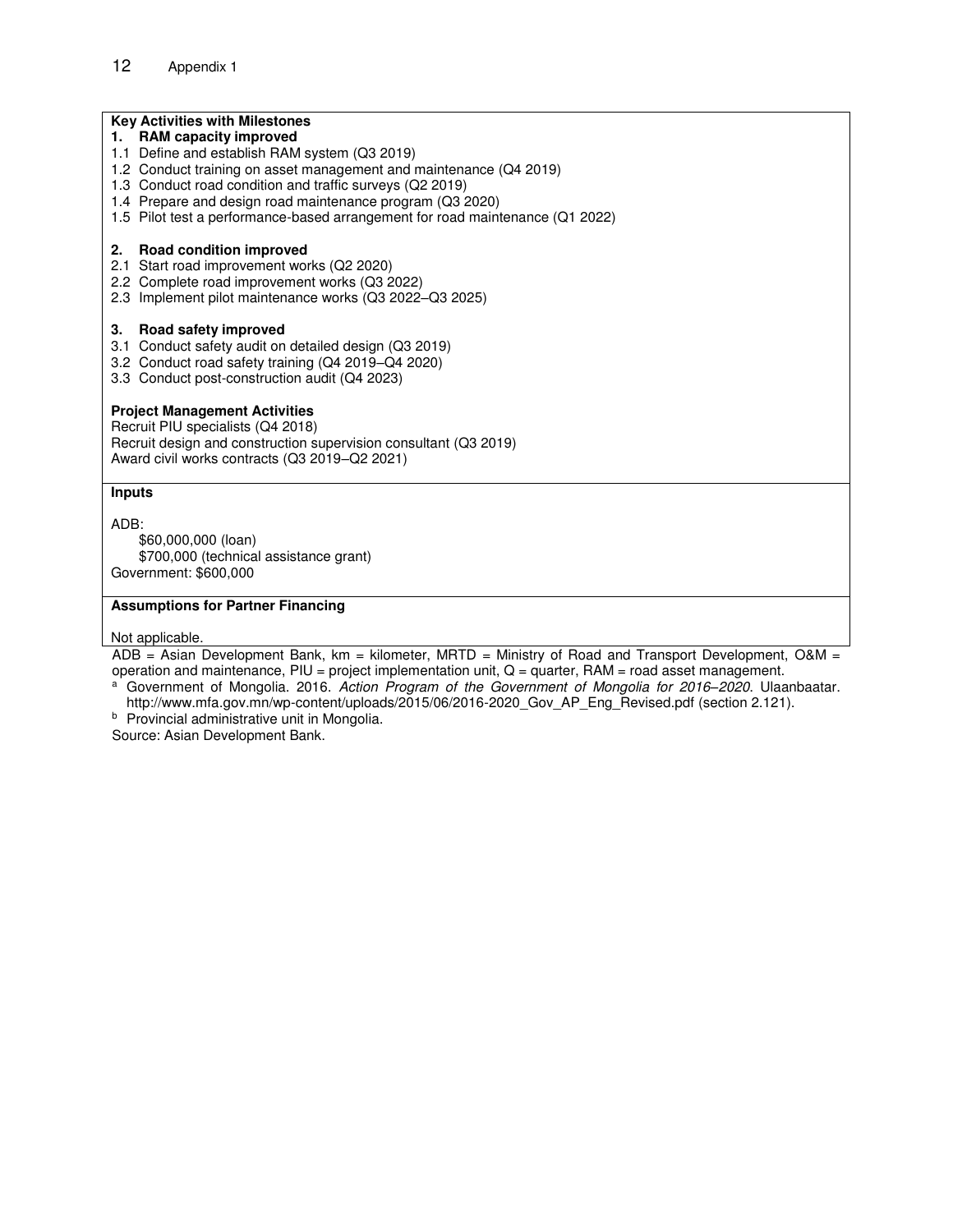#### **Key Activities with Milestones**

- **1. RAM capacity improved**
- 1.1 Define and establish RAM system (Q3 2019)
- 1.2 Conduct training on asset management and maintenance (Q4 2019)
- 1.3 Conduct road condition and traffic surveys (Q2 2019)
- 1.4 Prepare and design road maintenance program (Q3 2020)
- 1.5 Pilot test a performance-based arrangement for road maintenance (Q1 2022)

#### **2. Road condition improved**

- 2.1 Start road improvement works (Q2 2020)
- 2.2 Complete road improvement works (Q3 2022)
- 2.3 Implement pilot maintenance works (Q3 2022–Q3 2025)

#### **3. Road safety improved**

- 3.1 Conduct safety audit on detailed design (Q3 2019)
- 3.2 Conduct road safety training (Q4 2019–Q4 2020)
- 3.3 Conduct post-construction audit (Q4 2023)

#### **Project Management Activities**

Recruit PIU specialists (Q4 2018) Recruit design and construction supervision consultant (Q3 2019) Award civil works contracts (Q3 2019–Q2 2021)

#### **Inputs**

ADB:

 \$60,000,000 (loan) \$700,000 (technical assistance grant) Government: \$600,000

#### **Assumptions for Partner Financing**

Not applicable.

 $ADB = Asian Development Bank, km = kilometer, MRTD = Ministry of Road and Transport Development,  $OAM =$$ operation and maintenance,  $PIU = project$  implementation unit,  $Q = quarter$ ,  $RAM = road$  asset management.

- a Government of Mongolia. 2016. Action Program of the Government of Mongolia for 2016*–*2020. Ulaanbaatar. [http://www.mfa.gov.mn/wp-content/uploads/2015/06/2016-2020\\_Gov\\_AP\\_Eng\\_Revised.pdf](http://www.mfa.gov.mn/wp-content/uploads/2015/06/2016-2020_Gov_AP_Eng_Revised.pdf) (section 2.121).
- <sup>b</sup> Provincial administrative unit in Mongolia.

Source: Asian Development Bank.